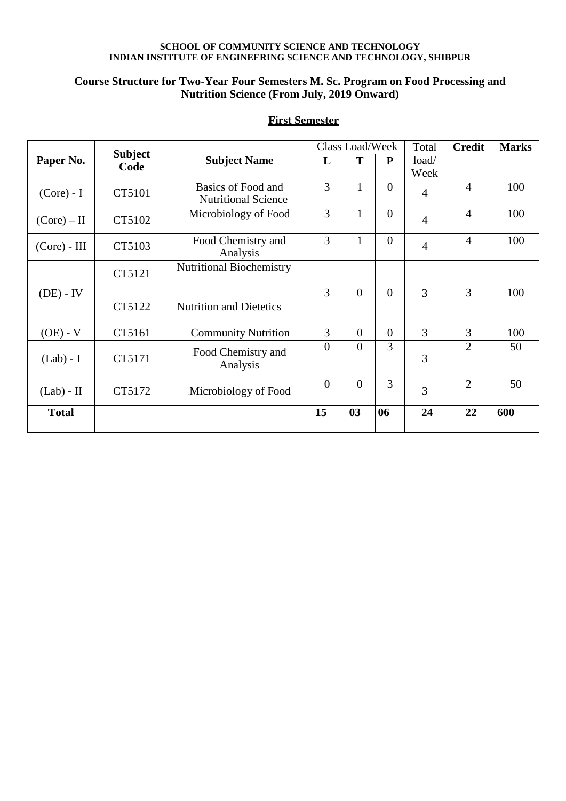# **SCHOOL OF COMMUNITY SCIENCE AND TECHNOLOGY INDIAN INSTITUTE OF ENGINEERING SCIENCE AND TECHNOLOGY, SHIBPUR**

# **Course Structure for Two-Year Four Semesters M. Sc. Program on Food Processing and Nutrition Science (From July, 2019 Onward)**

|                |                        |                                                  |                | Class Load/Week  |                |                | <b>Credit</b>  | <b>Marks</b> |
|----------------|------------------------|--------------------------------------------------|----------------|------------------|----------------|----------------|----------------|--------------|
| Paper No.      | <b>Subject</b><br>Code | <b>Subject Name</b>                              | L              | T                | ${\bf P}$      | load/<br>Week  |                |              |
| $(Core) - I$   | CT5101                 | Basics of Food and<br><b>Nutritional Science</b> | 3              | $\mathbf{1}$     | $\overline{0}$ | $\overline{4}$ | $\overline{4}$ | 100          |
| (Core) – II    | CT5102                 | Microbiology of Food                             | 3              | $\mathbf{1}$     | $\overline{0}$ | $\overline{4}$ | $\overline{4}$ | 100          |
| $(Core)$ - III | CT5103                 | Food Chemistry and<br>Analysis                   | 3              | 1                | $\theta$       | $\overline{4}$ | $\overline{4}$ | 100          |
|                | CT5121                 | <b>Nutritional Biochemistry</b>                  | 3              |                  |                |                |                |              |
| $(DE) - IV$    | CT5122                 | <b>Nutrition and Dietetics</b>                   |                | $\boldsymbol{0}$ | $\overline{0}$ | 3              | 3              | 100          |
| $(OE) - V$     | CT5161                 | <b>Community Nutrition</b>                       | 3              | $\overline{0}$   | $\overline{0}$ | 3              | 3              | 100          |
| $(Lab) - I$    | CT5171                 | Food Chemistry and<br>Analysis                   | $\overline{0}$ | $\overline{0}$   | 3              | 3              | $\overline{2}$ | 50           |
| $(Lab) - II$   | CT5172                 | Microbiology of Food                             | $\overline{0}$ | $\overline{0}$   | 3              | 3              | $\overline{2}$ | 50           |
| <b>Total</b>   |                        |                                                  | 15             | 03               | 06             | 24             | 22             | 600          |

# **First Semester**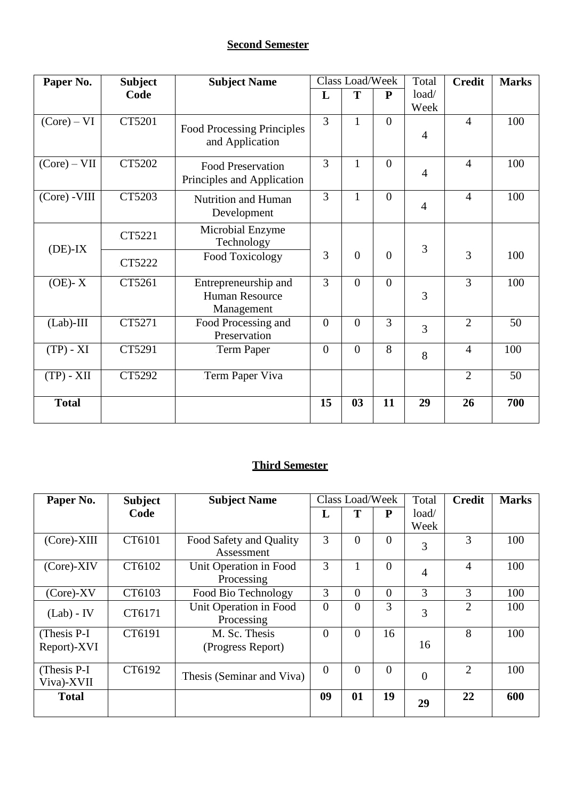# **Second Semester**

| Paper No.      | <b>Subject</b> | <b>Subject Name</b>                                    |                | Class Load/Week |                | Total          | <b>Credit</b>  | <b>Marks</b>    |
|----------------|----------------|--------------------------------------------------------|----------------|-----------------|----------------|----------------|----------------|-----------------|
|                | Code           |                                                        | L              | T               | ${\bf P}$      | load/          |                |                 |
|                |                |                                                        |                |                 |                | Week           |                |                 |
| (Core) – VI    | CT5201         | <b>Food Processing Principles</b><br>and Application   | $\overline{3}$ | $\mathbf{1}$    | $\overline{0}$ | $\overline{4}$ | $\overline{4}$ | 100             |
| (Core) – VII   | CT5202         | <b>Food Preservation</b><br>Principles and Application | 3              | $\mathbf{1}$    | $\overline{0}$ | $\overline{4}$ | $\overline{4}$ | 100             |
| $(Core)$ -VIII | CT5203         | Nutrition and Human<br>Development                     | $\overline{3}$ | $\mathbf{1}$    | $\overline{0}$ | $\overline{4}$ | $\overline{4}$ | 100             |
| $(DE)-IX$      | CT5221         | Microbial Enzyme<br>Technology                         |                |                 |                | 3              |                |                 |
|                | CT5222         | Food Toxicology                                        | 3              | $\overline{0}$  | $\theta$       |                | 3              | 100             |
| $(OE)$ - X     | CT5261         | Entrepreneurship and<br>Human Resource<br>Management   | $\overline{3}$ | $\theta$        | $\overline{0}$ | 3              | 3              | 100             |
| $(Lab)$ -III   | CT5271         | Food Processing and<br>Preservation                    | $\overline{0}$ | $\overline{0}$  | 3              | 3              | $\overline{2}$ | 50              |
| $(TP) - XI$    | CT5291         | Term Paper                                             | $\overline{0}$ | $\overline{0}$  | 8              | 8              | $\overline{4}$ | 100             |
| $(TP) - XII$   | CT5292         | Term Paper Viva                                        |                |                 |                |                | $\overline{2}$ | $\overline{50}$ |
| <b>Total</b>   |                |                                                        | 15             | 03              | 11             | 29             | 26             | 700             |

# **Third Semester**

| Paper No.                   | <b>Subject</b> | <b>Subject Name</b>                   |          | Class Load/Week |                | Total          | <b>Credit</b>  | <b>Marks</b> |
|-----------------------------|----------------|---------------------------------------|----------|-----------------|----------------|----------------|----------------|--------------|
|                             | Code           |                                       | П,       | Т               | P              | load/          |                |              |
|                             |                |                                       |          |                 |                | Week           |                |              |
| (Core)-XIII                 | CT6101         | Food Safety and Quality<br>Assessment | 3        | $\overline{0}$  | $\overline{0}$ | 3              | 3              | 100          |
| $(Core)$ -XIV               | CT6102         | Unit Operation in Food<br>Processing  | 3        |                 | $\overline{0}$ | $\overline{4}$ | $\overline{4}$ | 100          |
| $(Core)$ -XV                | CT6103         | Food Bio Technology                   | 3        | $\overline{0}$  | $\overline{0}$ | 3              | 3              | 100          |
| $(Lab) - IV$                | CT6171         | Unit Operation in Food<br>Processing  | $\Omega$ | $\overline{0}$  | 3              | 3              | 2              | 100          |
| (Thesis P-I)<br>Report)-XVI | CT6191         | M. Sc. Thesis<br>(Progress Report)    | $\Omega$ | $\overline{0}$  | 16             | 16             | 8              | 100          |
| (Thesis P-I)<br>Viva)-XVII  | CT6192         | Thesis (Seminar and Viva)             | $\Omega$ | $\overline{0}$  | $\overline{0}$ | $\overline{0}$ | $\overline{2}$ | 100          |
| <b>Total</b>                |                |                                       | 09       | 01              | 19             | 29             | 22             | 600          |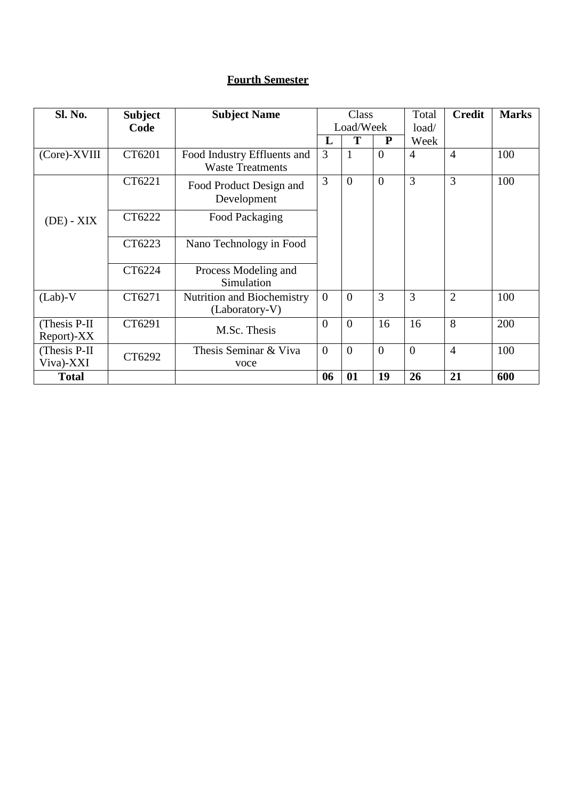# **Fourth Semester**

| <b>Sl. No.</b>              | <b>Subject</b> | <b>Subject Name</b>                                    |          | Class          |                | Total          | <b>Credit</b>  | <b>Marks</b> |
|-----------------------------|----------------|--------------------------------------------------------|----------|----------------|----------------|----------------|----------------|--------------|
|                             | Code           |                                                        |          | Load/Week      |                | load/          |                |              |
|                             |                |                                                        | L        | T              | P              | Week           |                |              |
| (Core)-XVIII                | CT6201         | Food Industry Effluents and<br><b>Waste Treatments</b> | 3        | $\mathbf{1}$   | $\overline{0}$ | $\overline{4}$ | $\overline{4}$ | 100          |
|                             | CT6221         | Food Product Design and<br>Development                 | 3        | $\theta$       | $\theta$       | 3              | 3              | 100          |
| $(DE) - XIX$                | CT6222         | Food Packaging                                         |          |                |                |                |                |              |
|                             | CT6223         | Nano Technology in Food                                |          |                |                |                |                |              |
|                             | CT6224         | Process Modeling and<br>Simulation                     |          |                |                |                |                |              |
| $(Lab)-V$                   | CT6271         | Nutrition and Biochemistry<br>(Laboratory-V)           | $\theta$ | $\overline{0}$ | 3              | 3              | $\overline{2}$ | 100          |
| (Thesis P-II)<br>Report)-XX | CT6291         | M.Sc. Thesis                                           | $\theta$ | $\theta$       | 16             | 16             | 8              | 200          |
| (Thesis P-II)<br>Viva)-XXI  | CT6292         | Thesis Seminar & Viva<br>voce                          | $\Omega$ | $\overline{0}$ | $\overline{0}$ | $\overline{0}$ | $\overline{4}$ | 100          |
| <b>Total</b>                |                |                                                        | 06       | 01             | 19             | 26             | 21             | 600          |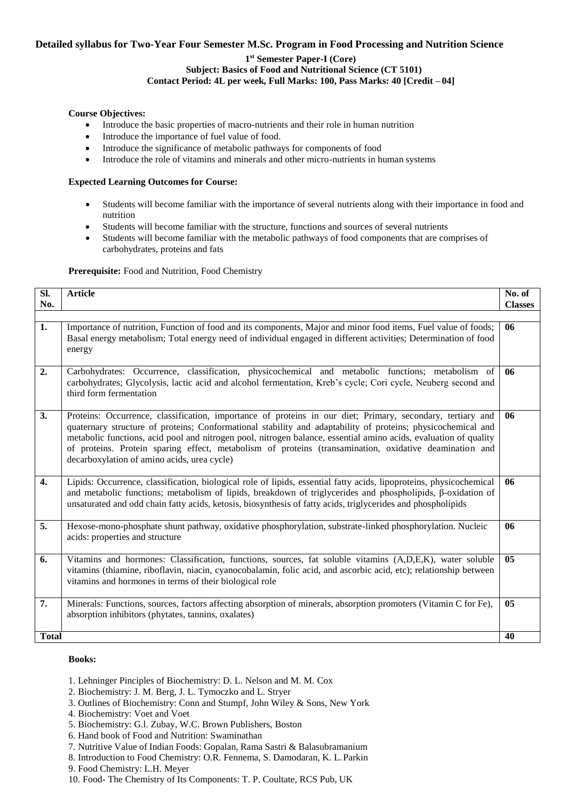# **Detailed syllabus for Two-Year Four Semester M.Sc. Program in Food Processing and Nutrition Science**

# **1 st Semester Paper-I (Core) Subject: Basics of Food and Nutritional Science (CT 5101) Contact Period: 4L per week, Full Marks: 100, Pass Marks: 40 [Credit – 04]**

# **Course Objectives:**

- Introduce the basic properties of macro-nutrients and their role in human nutrition
- Introduce the importance of fuel value of food.
- Introduce the significance of metabolic pathways for components of food
- Introduce the role of vitamins and minerals and other micro-nutrients in human systems

# **Expected Learning Outcomes for Course:**

- Students will become familiar with the importance of several nutrients along with their importance in food and nutrition
- Students will become familiar with the structure, functions and sources of several nutrients
- Students will become familiar with the metabolic pathways of food components that are comprises of carbohydrates, proteins and fats

# **Prerequisite:** Food and Nutrition, Food Chemistry

| Sl.<br>No.       | <b>Article</b>                                                                                                                                                                                                                                                                                                                                                                                                                                                                                          | No. of<br><b>Classes</b> |
|------------------|---------------------------------------------------------------------------------------------------------------------------------------------------------------------------------------------------------------------------------------------------------------------------------------------------------------------------------------------------------------------------------------------------------------------------------------------------------------------------------------------------------|--------------------------|
|                  |                                                                                                                                                                                                                                                                                                                                                                                                                                                                                                         |                          |
| 1.               | Importance of nutrition, Function of food and its components, Major and minor food items, Fuel value of foods;<br>Basal energy metabolism; Total energy need of individual engaged in different activities; Determination of food<br>energy                                                                                                                                                                                                                                                             | 06                       |
| 2.               | Carbohydrates: Occurrence, classification, physicochemical and metabolic functions; metabolism of<br>carbohydrates; Glycolysis, lactic acid and alcohol fermentation, Kreb's cycle; Cori cycle, Neuberg second and<br>third form fermentation                                                                                                                                                                                                                                                           | 06                       |
| 3.               | Proteins: Occurrence, classification, importance of proteins in our diet; Primary, secondary, tertiary and<br>quaternary structure of proteins; Conformational stability and adaptability of proteins; physicochemical and<br>metabolic functions, acid pool and nitrogen pool, nitrogen balance, essential amino acids, evaluation of quality<br>of proteins. Protein sparing effect, metabolism of proteins (transamination, oxidative deamination and<br>decarboxylation of amino acids, urea cycle) | 06                       |
| $\overline{4}$ . | Lipids: Occurrence, classification, biological role of lipids, essential fatty acids, lipoproteins, physicochemical<br>and metabolic functions; metabolism of lipids, breakdown of triglycerides and phospholipids, $\beta$ -oxidation of<br>unsaturated and odd chain fatty acids, ketosis, biosynthesis of fatty acids, triglycerides and phospholipids                                                                                                                                               | 06                       |
| 5.               | Hexose-mono-phosphate shunt pathway, oxidative phosphorylation, substrate-linked phosphorylation. Nucleic<br>acids: properties and structure                                                                                                                                                                                                                                                                                                                                                            | 06                       |
| 6.               | Vitamins and hormones: Classification, functions, sources, fat soluble vitamins (A,D,E,K), water soluble<br>vitamins (thiamine, riboflavin, niacin, cyanocobalamin, folic acid, and ascorbic acid, etc); relationship between<br>vitamins and hormones in terms of their biological role                                                                                                                                                                                                                | 0 <sub>5</sub>           |
| 7.               | Minerals: Functions, sources, factors affecting absorption of minerals, absorption promoters (Vitamin C for Fe),<br>absorption inhibitors (phytates, tannins, oxalates)                                                                                                                                                                                                                                                                                                                                 | 0 <sub>5</sub>           |
| <b>Total</b>     |                                                                                                                                                                                                                                                                                                                                                                                                                                                                                                         | 40                       |

- 1. Lehninger Pinciples of Biochemistry: D. L. Nelson and M. M. Cox
- 2. Biochemistry: J. M. Berg, J. L. Tymoczko and L. Stryer
- 3. Outlines of Biochemistry: Conn and Stumpf, John Wiley & Sons, New York
- 4. Biochemistry: Voet and Voet
- 5. Biochemistry: G.l. Zubay, W.C. Brown Publishers, Boston
- 6. Hand book of Food and Nutrition: Swaminathan
- 7. Nutritive Value of Indian Foods: Gopalan, Rama Sastri & Balasubramanium
- 8. Introduction to Food Chemistry: O.R. Fennema, S. Damodaran, K. L.Parkin
- 9. Food Chemistry: L.H. Meyer
- 10. Food- The Chemistry of Its Components: T. P. Coultate, RCS Pub, UK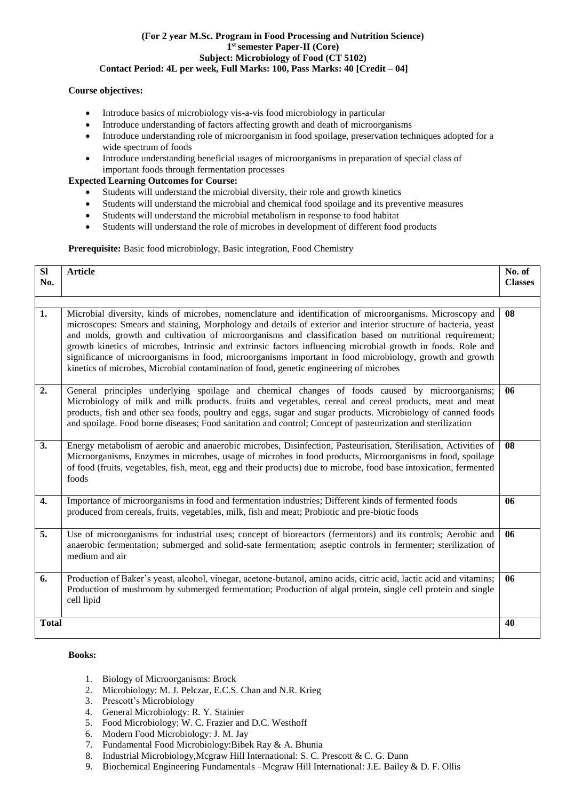#### **(For 2 year M.Sc. Program in Food Processing and Nutrition Science) 1 st semester Paper-II (Core) Subject: Microbiology of Food (CT 5102) Contact Period: 4L per week, Full Marks: 100, Pass Marks: 40 [Credit – 04]**

# **Course objectives:**

- Introduce basics of microbiology vis-a-vis food microbiology in particular
- Introduce understanding of factors affecting growth and death of microorganisms
- Introduce understanding role of microorganism in food spoilage, preservation techniques adopted for a wide spectrum of foods
- Introduce understanding beneficial usages of microorganisms in preparation of special class of important foods through fermentation processes

# **Expected Learning Outcomes for Course:**

- Students will understand the microbial diversity, their role and growth kinetics
- Students will understand the microbial and chemical food spoilage and its preventive measures
- Students will understand the microbial metabolism in response to food habitat
- Students will understand the role of microbes in development of different food products

# **Prerequisite:** Basic food microbiology, Basic integration, Food Chemistry

| <b>SI</b>    | <b>Article</b>                                                                                                                                                                                                                                                                                                                                                                                                                                                                                                                                                                                                                                                | No. of         |
|--------------|---------------------------------------------------------------------------------------------------------------------------------------------------------------------------------------------------------------------------------------------------------------------------------------------------------------------------------------------------------------------------------------------------------------------------------------------------------------------------------------------------------------------------------------------------------------------------------------------------------------------------------------------------------------|----------------|
| No.          |                                                                                                                                                                                                                                                                                                                                                                                                                                                                                                                                                                                                                                                               | <b>Classes</b> |
|              |                                                                                                                                                                                                                                                                                                                                                                                                                                                                                                                                                                                                                                                               |                |
| 1.           | Microbial diversity, kinds of microbes, nomenclature and identification of microorganisms. Microscopy and<br>microscopes: Smears and staining, Morphology and details of exterior and interior structure of bacteria, yeast<br>and molds, growth and cultivation of microorganisms and classification based on nutritional requirement;<br>growth kinetics of microbes, Intrinsic and extrinsic factors influencing microbial growth in foods. Role and<br>significance of microorganisms in food, microorganisms important in food microbiology, growth and growth<br>kinetics of microbes, Microbial contamination of food, genetic engineering of microbes | 08             |
| 2.           | General principles underlying spoilage and chemical changes of foods caused by microorganisms;<br>Microbiology of milk and milk products. fruits and vegetables, cereal and cereal products, meat and meat<br>products, fish and other sea foods, poultry and eggs, sugar and sugar products. Microbiology of canned foods<br>and spoilage. Food borne diseases; Food sanitation and control; Concept of pasteurization and sterilization                                                                                                                                                                                                                     | 06             |
| 3.           | Energy metabolism of aerobic and anaerobic microbes, Disinfection, Pasteurisation, Sterilisation, Activities of<br>Microorganisms, Enzymes in microbes, usage of microbes in food products, Microorganisms in food, spoilage<br>of food (fruits, vegetables, fish, meat, egg and their products) due to microbe, food base intoxication, fermented<br>foods                                                                                                                                                                                                                                                                                                   | 08             |
| 4.           | Importance of microorganisms in food and fermentation industries; Different kinds of fermented foods<br>produced from cereals, fruits, vegetables, milk, fish and meat; Probiotic and pre-biotic foods                                                                                                                                                                                                                                                                                                                                                                                                                                                        | 06             |
| 5.           | Use of microorganisms for industrial uses; concept of bioreactors (fermentors) and its controls; Aerobic and<br>anaerobic fermentation; submerged and solid-sate fermentation; aseptic controls in fermenter; sterilization of<br>medium and air                                                                                                                                                                                                                                                                                                                                                                                                              | 06             |
| 6.           | Production of Baker's yeast, alcohol, vinegar, acetone-butanol, amino acids, citric acid, lactic acid and vitamins;<br>Production of mushroom by submerged fermentation; Production of algal protein, single cell protein and single<br>cell lipid                                                                                                                                                                                                                                                                                                                                                                                                            | 06             |
| <b>Total</b> |                                                                                                                                                                                                                                                                                                                                                                                                                                                                                                                                                                                                                                                               | 40             |

- 1. Biology of Microorganisms: Brock
- 2. Microbiology: M. J. Pelczar, E.C.S. Chan and N.R. Krieg
- 3. Prescott's Microbiology
- 4. General Microbiology: R. Y. Stainier
- 5. Food Microbiology: W. C. Frazier and D.C. Westhoff
- 6. Modern Food Microbiology: J. M. Jay
- 7. Fundamental Food Microbiology:Bibek Ray & A. Bhunia
- 8. Industrial Microbiology,Mcgraw Hill International: S. C. Prescott & C. G. Dunn
- 9. Biochemical Engineering Fundamentals –Mcgraw Hill International: J.E. Bailey & D. F. Ollis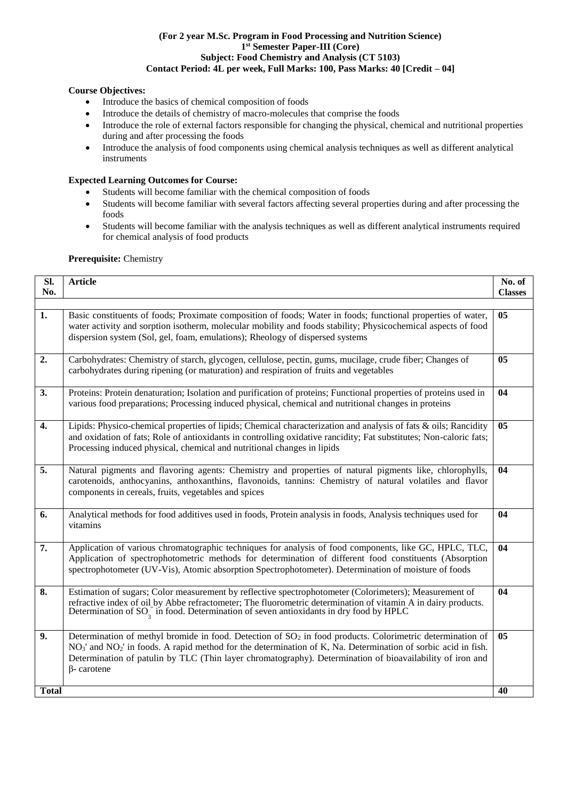# **(For 2 year M.Sc. Program in Food Processing and Nutrition Science) 1 st Semester Paper-III (Core) Subject: Food Chemistry and Analysis (CT 5103) Contact Period: 4L per week, Full Marks: 100, Pass Marks: 40 [Credit – 04]**

# **Course Objectives:**

- Introduce the basics of chemical composition of foods
- Introduce the details of chemistry of macro-molecules that comprise the foods
- Introduce the role of external factors responsible for changing the physical, chemical and nutritional properties during and after processing the foods
- Introduce the analysis of food components using chemical analysis techniques as well as different analytical instruments

# **Expected Learning Outcomes for Course:**

- Students will become familiar with the chemical composition of foods
- Students will become familiar with several factors affecting several properties during and after processing the foods
- Students will become familiar with the analysis techniques as well as different analytical instruments required for chemical analysis of food products

**Prerequisite:** Chemistry

| SI.<br>No.       | <b>Article</b>                                                                                                                                                                                                                                                                                                                                                    | No. of<br><b>Classes</b> |
|------------------|-------------------------------------------------------------------------------------------------------------------------------------------------------------------------------------------------------------------------------------------------------------------------------------------------------------------------------------------------------------------|--------------------------|
| 1.               | Basic constituents of foods; Proximate composition of foods; Water in foods; functional properties of water,<br>water activity and sorption isotherm, molecular mobility and foods stability; Physicochemical aspects of food<br>dispersion system (Sol, gel, foam, emulations); Rheology of dispersed systems                                                    | 05                       |
| 2.               | Carbohydrates: Chemistry of starch, glycogen, cellulose, pectin, gums, mucilage, crude fiber; Changes of<br>carbohydrates during ripening (or maturation) and respiration of fruits and vegetables                                                                                                                                                                | 05                       |
| 3.               | Proteins: Protein denaturation; Isolation and purification of proteins; Functional properties of proteins used in<br>various food preparations; Processing induced physical, chemical and nutritional changes in proteins                                                                                                                                         | 04                       |
| $\overline{4}$ . | Lipids: Physico-chemical properties of lipids; Chemical characterization and analysis of fats & oils; Rancidity<br>and oxidation of fats; Role of antioxidants in controlling oxidative rancidity; Fat substitutes; Non-caloric fats;<br>Processing induced physical, chemical and nutritional changes in lipids                                                  | 05                       |
| $\overline{5}$ . | Natural pigments and flavoring agents: Chemistry and properties of natural pigments like, chlorophylls,<br>carotenoids, anthocyanins, anthoxanthins, flavonoids, tannins: Chemistry of natural volatiles and flavor<br>components in cereals, fruits, vegetables and spices                                                                                       | 04                       |
| 6.               | Analytical methods for food additives used in foods, Protein analysis in foods, Analysis techniques used for<br>vitamins                                                                                                                                                                                                                                          | 04                       |
| 7.               | Application of various chromatographic techniques for analysis of food components, like GC, HPLC, TLC,<br>Application of spectrophotometric methods for determination of different food constituents (Absorption<br>spectrophotometer (UV-Vis), Atomic absorption Spectrophotometer). Determination of moisture of foods                                          | 04                       |
| 8.               | Estimation of sugars; Color measurement by reflective spectrophotometer (Colorimeters); Measurement of<br>refractive index of oil by Abbe refractometer; The fluorometric determination of vitamin A in dairy products.<br>Determination of SO <sub>2</sub> <sup>"</sup> in food. Determination of seven antioxidants in dry food by HPLC                         | 04                       |
| 9.               | Determination of methyl bromide in food. Detection of $SO_2$ in food products. Colorimetric determination of<br>$NO3$ and $NO2$ in foods. A rapid method for the determination of K, Na. Determination of sorbic acid in fish.<br>Determination of patulin by TLC (Thin layer chromatography). Determination of bioavailability of iron and<br>$\beta$ - carotene | 05                       |
| <b>Total</b>     |                                                                                                                                                                                                                                                                                                                                                                   | 40                       |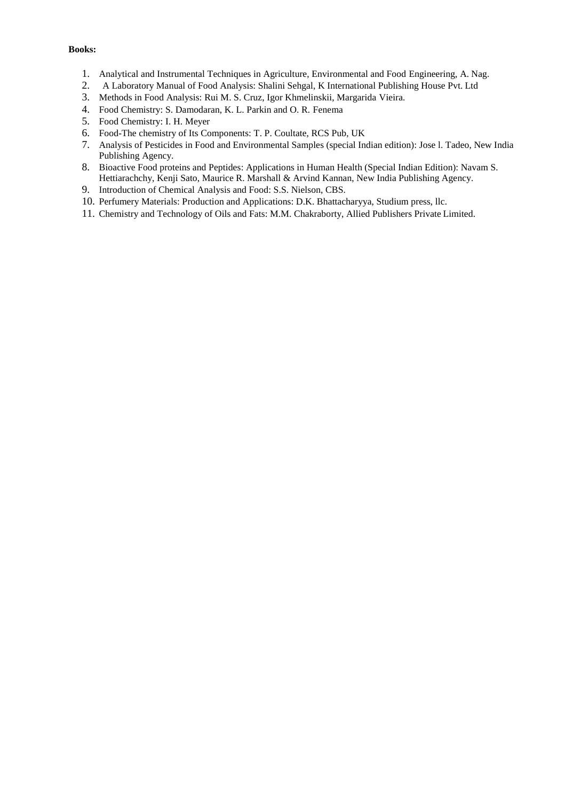- 1. Analytical and Instrumental Techniques in Agriculture, Environmental and Food Engineering, A. Nag.
- 2. A Laboratory Manual of Food Analysis: Shalini Sehgal, K International Publishing House Pvt. Ltd
- 3. Methods in Food Analysis: Rui M. S. Cruz, Igor Khmelinskii, Margarida Vieira.
- 4. Food Chemistry: S. Damodaran, K. L. Parkin and O. R. Fenema
- 5. Food Chemistry: I. H. Meyer
- 6. Food-The chemistry of Its Components: T. P. Coultate, RCS Pub, UK
- 7. Analysis of Pesticides in Food and Environmental Samples (special Indian edition): Jose l. Tadeo, New India Publishing Agency.
- 8. Bioactive Food proteins and Peptides: Applications in Human Health (Special Indian Edition): Navam S. Hettiarachchy, Kenji Sato, Maurice R. Marshall & Arvind Kannan, New India Publishing Agency.
- 9. Introduction of Chemical Analysis and Food: S.S. Nielson, CBS.
- 10. Perfumery Materials: Production and Applications: D.K. Bhattacharyya, Studium press, llc.
- 11. Chemistry and Technology of Oils and Fats: M.M. Chakraborty, Allied Publishers Private Limited.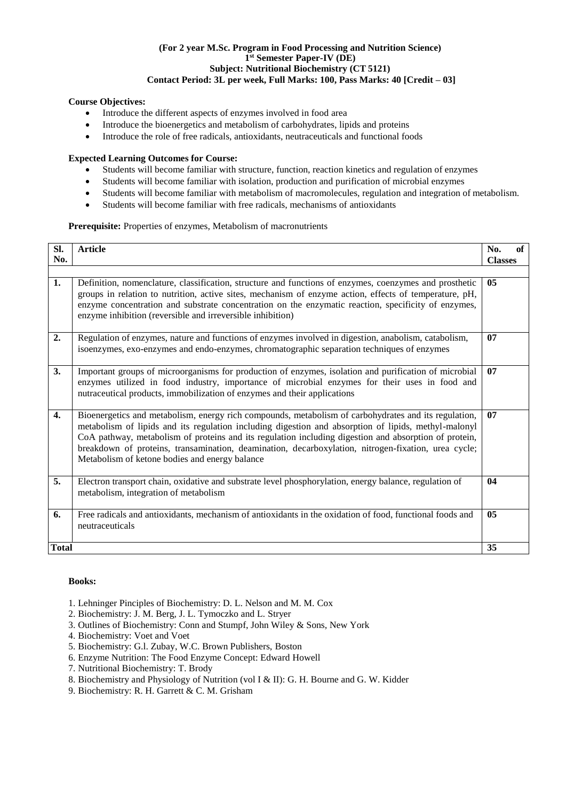#### **(For 2 year M.Sc. Program in Food Processing and Nutrition Science) 1 st Semester Paper-IV (DE) Subject: Nutritional Biochemistry (CT 5121) Contact Period: 3L per week, Full Marks: 100, Pass Marks: 40 [Credit – 03]**

# **Course Objectives:**

- Introduce the different aspects of enzymes involved in food area
- Introduce the bioenergetics and metabolism of carbohydrates, lipids and proteins
- Introduce the role of free radicals, antioxidants, neutraceuticals and functional foods

# **Expected Learning Outcomes for Course:**

- Students will become familiar with structure, function, reaction kinetics and regulation of enzymes
- Students will become familiar with isolation, production and purification of microbial enzymes
- Students will become familiar with metabolism of macromolecules, regulation and integration of metabolism.
- Students will become familiar with free radicals, mechanisms of antioxidants

#### **Prerequisite:** Properties of enzymes, Metabolism of macronutrients

| SI.<br>No.   | <b>Article</b>                                                                                                                                                                                                                                                                                                                                                                                                                                                                 | No.<br>of<br><b>Classes</b> |
|--------------|--------------------------------------------------------------------------------------------------------------------------------------------------------------------------------------------------------------------------------------------------------------------------------------------------------------------------------------------------------------------------------------------------------------------------------------------------------------------------------|-----------------------------|
| 1.           | Definition, nomenclature, classification, structure and functions of enzymes, coenzymes and prosthetic<br>groups in relation to nutrition, active sites, mechanism of enzyme action, effects of temperature, pH,<br>enzyme concentration and substrate concentration on the enzymatic reaction, specificity of enzymes,<br>enzyme inhibition (reversible and irreversible inhibition)                                                                                          | 0 <sub>5</sub>              |
| 2.           | Regulation of enzymes, nature and functions of enzymes involved in digestion, anabolism, catabolism,<br>isoenzymes, exo-enzymes and endo-enzymes, chromatographic separation techniques of enzymes                                                                                                                                                                                                                                                                             | 07                          |
| 3.           | Important groups of microorganisms for production of enzymes, isolation and purification of microbial<br>enzymes utilized in food industry, importance of microbial enzymes for their uses in food and<br>nutraceutical products, immobilization of enzymes and their applications                                                                                                                                                                                             | 07                          |
| $\mathbf{4}$ | Bioenergetics and metabolism, energy rich compounds, metabolism of carbohydrates and its regulation,<br>metabolism of lipids and its regulation including digestion and absorption of lipids, methyl-malonyl<br>CoA pathway, metabolism of proteins and its regulation including digestion and absorption of protein,<br>breakdown of proteins, transamination, deamination, decarboxylation, nitrogen-fixation, urea cycle;<br>Metabolism of ketone bodies and energy balance | 07                          |
| 5.           | Electron transport chain, oxidative and substrate level phosphorylation, energy balance, regulation of<br>metabolism, integration of metabolism                                                                                                                                                                                                                                                                                                                                | 04                          |
| 6.           | Free radicals and antioxidants, mechanism of antioxidants in the oxidation of food, functional foods and<br>neutraceuticals                                                                                                                                                                                                                                                                                                                                                    | 05                          |
| <b>Total</b> |                                                                                                                                                                                                                                                                                                                                                                                                                                                                                | 35                          |

- 1. Lehninger Pinciples of Biochemistry: D. L. Nelson and M. M. Cox
- 2. Biochemistry: J. M. Berg, J. L. Tymoczko and L. Stryer
- 3. Outlines of Biochemistry: Conn and Stumpf, John Wiley & Sons, New York
- 4. Biochemistry: Voet and Voet
- 5. Biochemistry: G.l. Zubay, W.C. Brown Publishers, Boston
- 6. Enzyme Nutrition: The Food Enzyme Concept: Edward Howell
- 7. Nutritional Biochemistry: T. Brody
- 8. Biochemistry and Physiology of Nutrition (vol I & II): G. H. Bourne and G. W. Kidder
- 9. Biochemistry: R. H. Garrett & C. M. Grisham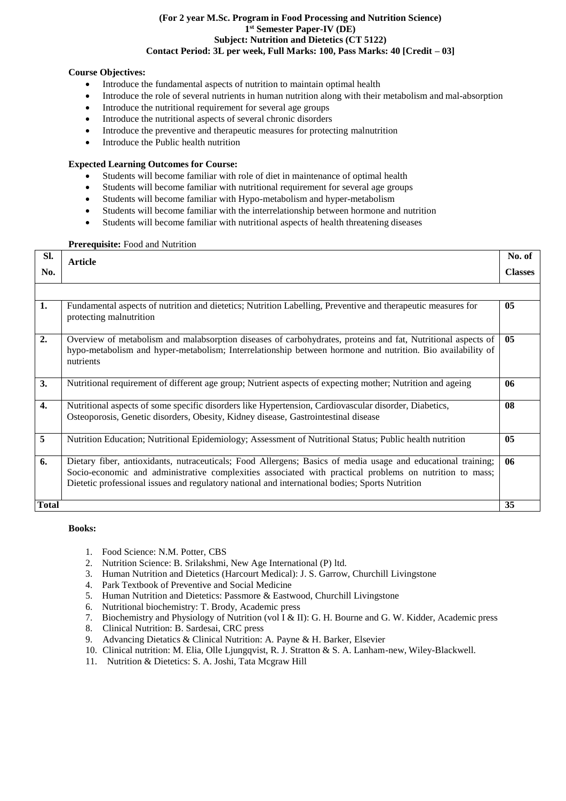#### **(For 2 year M.Sc. Program in Food Processing and Nutrition Science) 1 st Semester Paper-IV (DE) Subject: Nutrition and Dietetics (CT 5122) Contact Period: 3L per week, Full Marks: 100, Pass Marks: 40 [Credit – 03]**

# **Course Objectives:**

- Introduce the fundamental aspects of nutrition to maintain optimal health
- Introduce the role of several nutrients in human nutrition along with their metabolism and mal-absorption
- Introduce the nutritional requirement for several age groups
- Introduce the nutritional aspects of several chronic disorders
- Introduce the preventive and therapeutic measures for protecting malnutrition
- Introduce the Public health nutrition

# **Expected Learning Outcomes for Course:**

- Students will become familiar with role of diet in maintenance of optimal health
- Students will become familiar with nutritional requirement for several age groups
- Students will become familiar with Hypo-metabolism and hyper-metabolism
- Students will become familiar with the interrelationship between hormone and nutrition
- Students will become familiar with nutritional aspects of health threatening diseases

#### **Prerequisite:** Food and Nutrition

| Sl.              | <b>Article</b>                                                                                                                                                                                                                                                                                                             | No. of         |
|------------------|----------------------------------------------------------------------------------------------------------------------------------------------------------------------------------------------------------------------------------------------------------------------------------------------------------------------------|----------------|
| No.              |                                                                                                                                                                                                                                                                                                                            | <b>Classes</b> |
|                  |                                                                                                                                                                                                                                                                                                                            |                |
| 1.               | Fundamental aspects of nutrition and dietetics; Nutrition Labelling, Preventive and therapeutic measures for<br>protecting malnutrition                                                                                                                                                                                    | 05             |
| 2.               | Overview of metabolism and malabsorption diseases of carbohydrates, proteins and fat, Nutritional aspects of<br>hypo-metabolism and hyper-metabolism; Interrelationship between hormone and nutrition. Bio availability of<br>nutrients                                                                                    | 0 <sub>5</sub> |
| 3.               | Nutritional requirement of different age group; Nutrient aspects of expecting mother; Nutrition and ageing                                                                                                                                                                                                                 | 06             |
| $\overline{4}$ . | Nutritional aspects of some specific disorders like Hypertension, Cardiovascular disorder, Diabetics,<br>Osteoporosis, Genetic disorders, Obesity, Kidney disease, Gastrointestinal disease                                                                                                                                | 08             |
| 5                | Nutrition Education; Nutritional Epidemiology; Assessment of Nutritional Status; Public health nutrition                                                                                                                                                                                                                   | 05             |
| 6.               | Dietary fiber, antioxidants, nutraceuticals; Food Allergens; Basics of media usage and educational training;<br>Socio-economic and administrative complexities associated with practical problems on nutrition to mass;<br>Dietetic professional issues and regulatory national and international bodies; Sports Nutrition | 06             |
| <b>Total</b>     |                                                                                                                                                                                                                                                                                                                            | 35             |

- 1. Food Science: N.M. Potter, CBS
- 2. Nutrition Science: B. Srilakshmi, New Age International (P) ltd.
- 3. Human Nutrition and Dietetics (Harcourt Medical): J. S. Garrow, Churchill Livingstone
- 4. Park Textbook of Preventive and Social Medicine
- 5. Human Nutrition and Dietetics: Passmore & Eastwood, Churchill Livingstone
- 6. Nutritional biochemistry: T. Brody, Academic press
- 7. Biochemistry and Physiology of Nutrition (vol I & II): G. H. Bourne and G. W. Kidder, Academic press
- 8. Clinical Nutrition: B. Sardesai, CRC press
- 9. Advancing Dietatics & Clinical Nutrition: A. Payne & H. Barker, Elsevier
- 10. Clinical nutrition: M. Elia, Olle Ljungqvist, R. J. Stratton & S. A. Lanham-new, Wiley-Blackwell.
- 11. Nutrition & Dietetics: S. A. Joshi, Tata Mcgraw Hill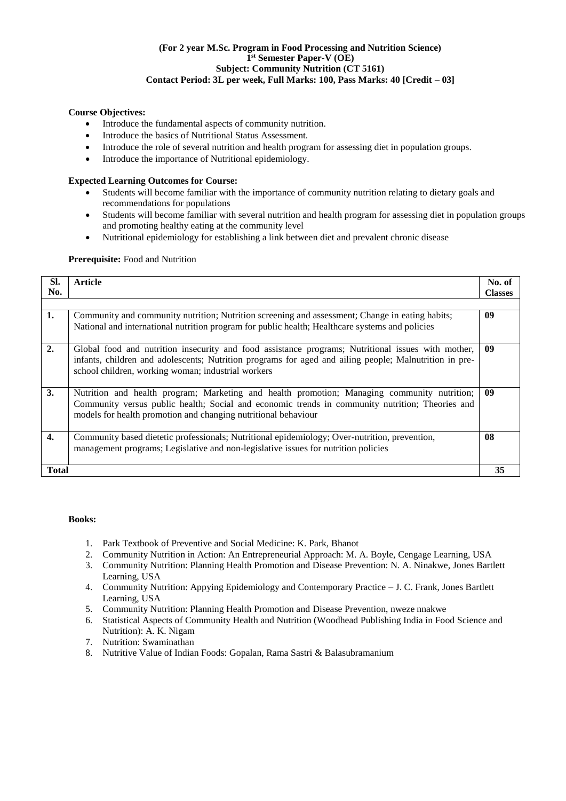#### **(For 2 year M.Sc. Program in Food Processing and Nutrition Science) 1 st Semester Paper-V (OE) Subject: Community Nutrition (CT 5161) Contact Period: 3L per week, Full Marks: 100, Pass Marks: 40 [Credit – 03]**

# **Course Objectives:**

- Introduce the fundamental aspects of community nutrition.
- Introduce the basics of Nutritional Status Assessment.
- Introduce the role of several nutrition and health program for assessing diet in population groups.
- Introduce the importance of Nutritional epidemiology.

# **Expected Learning Outcomes for Course:**

- Students will become familiar with the importance of community nutrition relating to dietary goals and recommendations for populations
- Students will become familiar with several nutrition and health program for assessing diet in population groups and promoting healthy eating at the community level
- Nutritional epidemiology for establishing a link between diet and prevalent chronic disease

# Prerequisite: Food and Nutrition

| SI.          | <b>Article</b>                                                                                                                                                                                                                                                     | No. of         |
|--------------|--------------------------------------------------------------------------------------------------------------------------------------------------------------------------------------------------------------------------------------------------------------------|----------------|
| No.          |                                                                                                                                                                                                                                                                    | <b>Classes</b> |
|              |                                                                                                                                                                                                                                                                    |                |
| 1.           | Community and community nutrition; Nutrition screening and assessment; Change in eating habits;<br>National and international nutrition program for public health; Healthcare systems and policies                                                                 | 09             |
| 2.           | Global food and nutrition insecurity and food assistance programs; Nutritional issues with mother,<br>infants, children and adolescents; Nutrition programs for aged and ailing people; Malnutrition in pre-<br>school children, working woman; industrial workers | 09             |
| 3.           | Nutrition and health program; Marketing and health promotion; Managing community nutrition;<br>Community versus public health; Social and economic trends in community nutrition; Theories and<br>models for health promotion and changing nutritional behaviour   | 09             |
| 4.           | Community based dietetic professionals; Nutritional epidemiology; Over-nutrition, prevention,<br>management programs; Legislative and non-legislative issues for nutrition policies                                                                                | 08             |
| <b>Total</b> |                                                                                                                                                                                                                                                                    | 35             |

- 1. Park Textbook of Preventive and Social Medicine: K. Park, Bhanot
- 2. Community Nutrition in Action: An Entrepreneurial Approach: M. A. Boyle, Cengage Learning, USA
- 3. Community Nutrition: Planning Health Promotion and Disease Prevention: N. A. Ninakwe, Jones Bartlett Learning, USA
- 4. Community Nutrition: Appying Epidemiology and Contemporary Practice J. C. Frank, Jones Bartlett Learning, USA
- 5. Community Nutrition: Planning Health Promotion and Disease Prevention, nweze nnakwe
- 6. Statistical Aspects of Community Health and Nutrition (Woodhead Publishing India in Food Science and Nutrition): [A. K. Nigam](https://www.amazon.in/s/ref%3Ddp_byline_sr_book_1?ie=UTF8&field-author=A.%2BK.%2BNigam&search-alias=stripbooks)
- 7. Nutrition: Swaminathan
- 8. Nutritive Value of Indian Foods: Gopalan, Rama Sastri & Balasubramanium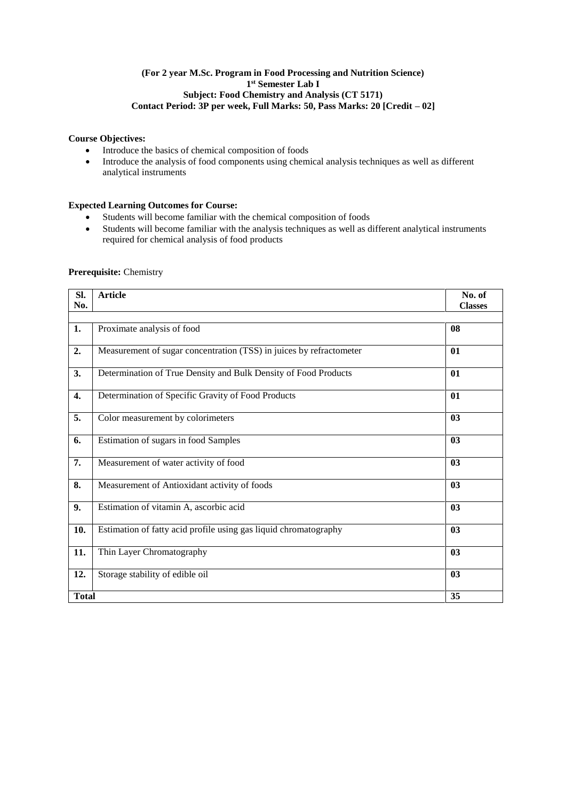# **(For 2 year M.Sc. Program in Food Processing and Nutrition Science) 1 st Semester Lab I Subject: Food Chemistry and Analysis (CT 5171) Contact Period: 3P per week, Full Marks: 50, Pass Marks: 20 [Credit – 02]**

# **Course Objectives:**

- Introduce the basics of chemical composition of foods<br>• Introduce the analysis of food components using chemi
- Introduce the analysis of food components using chemical analysis techniques as well as different analytical instruments

# **Expected Learning Outcomes for Course:**

- Students will become familiar with the chemical composition of foods<br>• Students will become familiar with the analysis techniques as well as d
- Students will become familiar with the analysis techniques as well as different analytical instruments required for chemical analysis of food products

| SI.<br>No.       | <b>Article</b>                                                      | No. of<br><b>Classes</b> |
|------------------|---------------------------------------------------------------------|--------------------------|
|                  |                                                                     |                          |
| 1.               | Proximate analysis of food                                          | 08                       |
| 2.               | Measurement of sugar concentration (TSS) in juices by refractometer | 01                       |
| 3.               | Determination of True Density and Bulk Density of Food Products     | 01                       |
| 4.               | Determination of Specific Gravity of Food Products                  | 01                       |
| $\overline{5}$ . | Color measurement by colorimeters                                   | $\overline{03}$          |
| 6.               | Estimation of sugars in food Samples                                | 03                       |
| 7.               | Measurement of water activity of food                               | 03                       |
| 8.               | Measurement of Antioxidant activity of foods                        | 03                       |
| 9.               | Estimation of vitamin A, ascorbic acid                              | 03                       |
| 10.              | Estimation of fatty acid profile using gas liquid chromatography    | 03                       |
| 11.              | Thin Layer Chromatography                                           | 03                       |
| 12.              | Storage stability of edible oil                                     | 03                       |
| <b>Total</b>     |                                                                     | $\overline{35}$          |

#### **Prerequisite:** Chemistry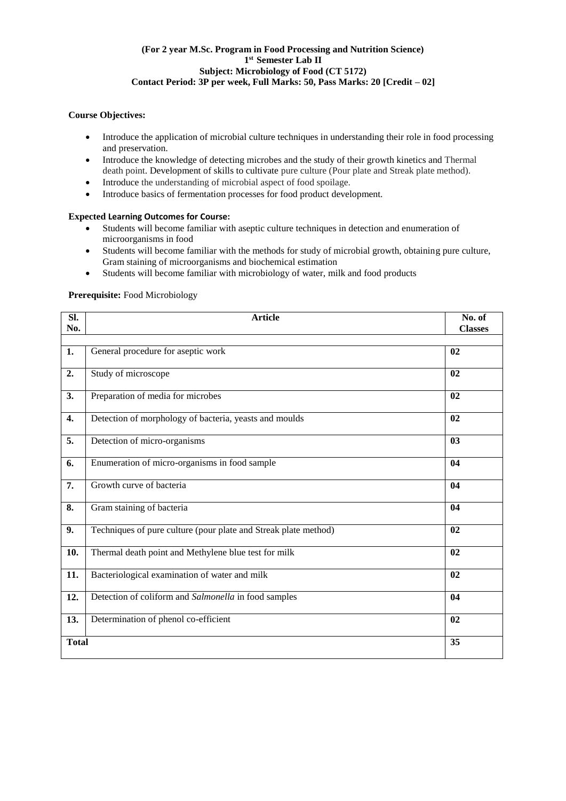# **(For 2 year M.Sc. Program in Food Processing and Nutrition Science) 1 st Semester Lab II Subject: Microbiology of Food (CT 5172) Contact Period: 3P per week, Full Marks: 50, Pass Marks: 20 [Credit – 02]**

# **Course Objectives:**

- Introduce the application of microbial culture techniques in understanding their role in food processing and preservation.
- Introduce the knowledge of detecting microbes and the study of their growth kinetics and Thermal death point. Development of skills to cultivate pure culture (Pour plate and Streak plate method).
- Introduce the understanding of microbial aspect of food spoilage.
- Introduce basics of fermentation processes for food product development.

# **Expected Learning Outcomes for Course:**

- Students will become familiar with aseptic culture techniques in detection and enumeration of microorganisms in food
- Students will become familiar with the methods for study of microbial growth, obtaining pure culture, Gram staining of microorganisms and biochemical estimation
- Students will become familiar with microbiology of water, milk and food products

# **Prerequisite:** Food Microbiology

| SI.<br>No.   | <b>Article</b>                                                  | No. of<br><b>Classes</b> |
|--------------|-----------------------------------------------------------------|--------------------------|
|              |                                                                 |                          |
| 1.           | General procedure for aseptic work                              | 02                       |
| 2.           | Study of microscope                                             | 02                       |
| 3.           | Preparation of media for microbes                               | 02                       |
| 4.           | Detection of morphology of bacteria, yeasts and moulds          | 02                       |
| 5.           | Detection of micro-organisms                                    | 03                       |
| 6.           | Enumeration of micro-organisms in food sample                   | 04                       |
| 7.           | Growth curve of bacteria                                        | 04                       |
| 8.           | Gram staining of bacteria                                       | 04                       |
| 9.           | Techniques of pure culture (pour plate and Streak plate method) | 02                       |
| 10.          | Thermal death point and Methylene blue test for milk            | 02                       |
| 11.          | Bacteriological examination of water and milk                   | 02                       |
| 12.          | Detection of coliform and Salmonella in food samples            | 04                       |
| 13.          | Determination of phenol co-efficient                            | 02                       |
| <b>Total</b> |                                                                 | 35                       |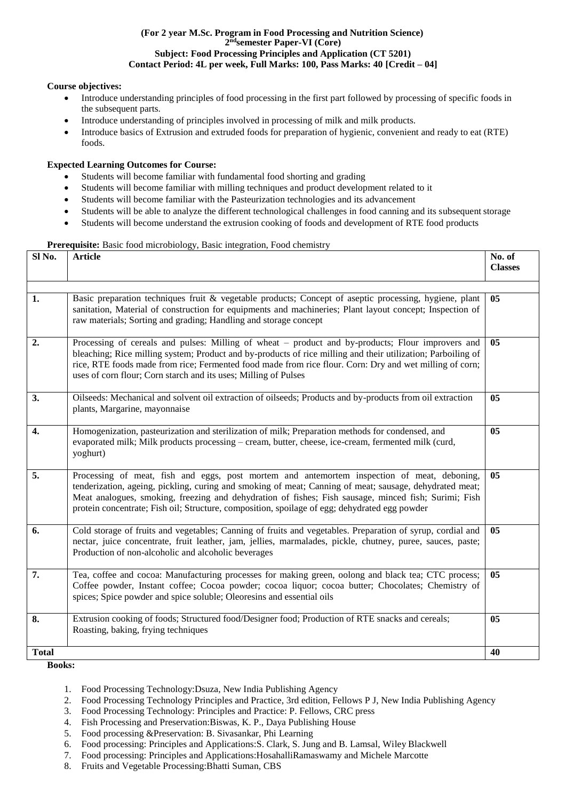#### **(For 2 year M.Sc. Program in Food Processing and Nutrition Science) 2 ndsemester Paper-VI (Core) Subject: Food Processing Principles and Application (CT 5201) Contact Period: 4L per week, Full Marks: 100, Pass Marks: 40 [Credit – 04]**

# **Course objectives:**

- Introduce understanding principles of food processing in the first part followed by processing of specific foods in the subsequent parts.
- Introduce understanding of principles involved in processing of milk and milk products.
- Introduce basics of Extrusion and extruded foods for preparation of hygienic, convenient and ready to eat (RTE) foods.

# **Expected Learning Outcomes for Course:**

- Students will become familiar with fundamental food shorting and grading
- Students will become familiar with milling techniques and product development related to it
- Students will become familiar with the Pasteurization technologies and its advancement
- Students will be able to analyze the different technological challenges in food canning and its subsequent storage
- Students will become understand the extrusion cooking of foods and development of RTE food products

# Prerequisite: Basic food microbiology, Basic integration, Food chemistry

| Sl No.       | <b>Article</b>                                                                                                                                                                                                                                                                                                                                                                                                  | No. of<br><b>Classes</b> |
|--------------|-----------------------------------------------------------------------------------------------------------------------------------------------------------------------------------------------------------------------------------------------------------------------------------------------------------------------------------------------------------------------------------------------------------------|--------------------------|
|              |                                                                                                                                                                                                                                                                                                                                                                                                                 |                          |
| 1.           | Basic preparation techniques fruit & vegetable products; Concept of aseptic processing, hygiene, plant<br>sanitation, Material of construction for equipments and machineries; Plant layout concept; Inspection of<br>raw materials; Sorting and grading; Handling and storage concept                                                                                                                          | 05                       |
| 2.           | Processing of cereals and pulses: Milling of wheat – product and by-products; Flour improvers and<br>bleaching; Rice milling system; Product and by-products of rice milling and their utilization; Parboiling of<br>rice, RTE foods made from rice; Fermented food made from rice flour. Corn: Dry and wet milling of corn;<br>uses of corn flour; Corn starch and its uses; Milling of Pulses                 | 05                       |
| 3.           | Oilseeds: Mechanical and solvent oil extraction of oilseeds; Products and by-products from oil extraction<br>plants, Margarine, mayonnaise                                                                                                                                                                                                                                                                      | 05                       |
| 4.           | Homogenization, pasteurization and sterilization of milk; Preparation methods for condensed, and<br>evaporated milk; Milk products processing – cream, butter, cheese, ice-cream, fermented milk (curd,<br>yoghurt)                                                                                                                                                                                             | 05                       |
| 5.           | Processing of meat, fish and eggs, post mortem and antemortem inspection of meat, deboning,<br>tenderization, ageing, pickling, curing and smoking of meat; Canning of meat; sausage, dehydrated meat;<br>Meat analogues, smoking, freezing and dehydration of fishes; Fish sausage, minced fish; Surimi; Fish<br>protein concentrate; Fish oil; Structure, composition, spoilage of egg; dehydrated egg powder | 0 <sub>5</sub>           |
| 6.           | Cold storage of fruits and vegetables; Canning of fruits and vegetables. Preparation of syrup, cordial and<br>nectar, juice concentrate, fruit leather, jam, jellies, marmalades, pickle, chutney, puree, sauces, paste;<br>Production of non-alcoholic and alcoholic beverages                                                                                                                                 | 0 <sub>5</sub>           |
| 7.           | Tea, coffee and cocoa: Manufacturing processes for making green, oolong and black tea; CTC process;<br>Coffee powder, Instant coffee; Cocoa powder; cocoa liquor; cocoa butter; Chocolates; Chemistry of<br>spices; Spice powder and spice soluble; Oleoresins and essential oils                                                                                                                               | 05                       |
| 8.           | Extrusion cooking of foods; Structured food/Designer food; Production of RTE snacks and cereals;<br>Roasting, baking, frying techniques                                                                                                                                                                                                                                                                         | 05                       |
| <b>Total</b> |                                                                                                                                                                                                                                                                                                                                                                                                                 | 40                       |

- 1. Food Processing Technology:Dsuza, New India Publishing Agency
- 2. Food Processing Technology Principles and Practice, 3rd edition, Fellows P J, New India Publishing Agency
- 3. Food Processing Technology: Principles and Practice: P. Fellows, CRC press
- 4. Fish Processing and Preservation:Biswas, K. P., Daya Publishing House
- 5. Food processing &Preservation: B. Sivasankar, Phi Learning
- 6. Food processing: Principles and Applications:S. Clark, S. Jung and B. Lamsal, Wiley Blackwell
- 7. Food processing: Principles and Applications:HosahalliRamaswamy and Michele Marcotte
- 8. Fruits and Vegetable Processing:Bhatti Suman, CBS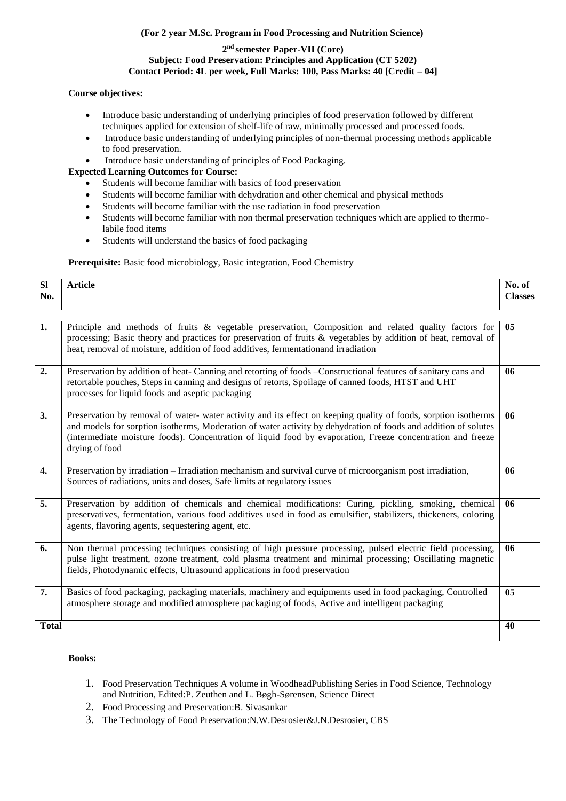# **(For 2 year M.Sc. Program in Food Processing and Nutrition Science)**

# **2 nd semester Paper-VII (Core) Subject: Food Preservation: Principles and Application (CT 5202) Contact Period: 4L per week, Full Marks: 100, Pass Marks: 40 [Credit – 04]**

# **Course objectives:**

- Introduce basic understanding of underlying principles of food preservation followed by different techniques applied for extension of shelf-life of raw, minimally processed and processed foods.
- Introduce basic understanding of underlying principles of non-thermal processing methods applicable to food preservation.
- Introduce basic understanding of principles of Food Packaging.

# **Expected Learning Outcomes for Course:**

- Students will become familiar with basics of food preservation
- Students will become familiar with dehydration and other chemical and physical methods
- Students will become familiar with the use radiation in food preservation
- Students will become familiar with non thermal preservation techniques which are applied to thermolabile food items
- Students will understand the basics of food packaging

Prerequisite: Basic food microbiology, Basic integration, Food Chemistry

| SI<br>No.    | <b>Article</b>                                                                                                                                                                                                                                                                                                                                                     | No. of<br><b>Classes</b> |
|--------------|--------------------------------------------------------------------------------------------------------------------------------------------------------------------------------------------------------------------------------------------------------------------------------------------------------------------------------------------------------------------|--------------------------|
| 1.           | Principle and methods of fruits & vegetable preservation, Composition and related quality factors for<br>processing; Basic theory and practices for preservation of fruits & vegetables by addition of heat, removal of<br>heat, removal of moisture, addition of food additives, fermentationand irradiation                                                      | 05                       |
| 2.           | Preservation by addition of heat- Canning and retorting of foods - Constructional features of sanitary cans and<br>retortable pouches, Steps in canning and designs of retorts, Spoilage of canned foods, HTST and UHT<br>processes for liquid foods and aseptic packaging                                                                                         | 06                       |
| 3.           | Preservation by removal of water-water activity and its effect on keeping quality of foods, sorption isotherms<br>and models for sorption isotherms, Moderation of water activity by dehydration of foods and addition of solutes<br>(intermediate moisture foods). Concentration of liquid food by evaporation, Freeze concentration and freeze<br>drying of food | 06                       |
| 4.           | Preservation by irradiation – Irradiation mechanism and survival curve of microorganism post irradiation,<br>Sources of radiations, units and doses, Safe limits at regulatory issues                                                                                                                                                                              | 06                       |
| 5.           | Preservation by addition of chemicals and chemical modifications: Curing, pickling, smoking, chemical<br>preservatives, fermentation, various food additives used in food as emulsifier, stabilizers, thickeners, coloring<br>agents, flavoring agents, sequestering agent, etc.                                                                                   | 06                       |
| 6.           | Non thermal processing techniques consisting of high pressure processing, pulsed electric field processing,<br>pulse light treatment, ozone treatment, cold plasma treatment and minimal processing; Oscillating magnetic<br>fields, Photodynamic effects, Ultrasound applications in food preservation                                                            | 06                       |
| 7.           | Basics of food packaging, packaging materials, machinery and equipments used in food packaging, Controlled<br>atmosphere storage and modified atmosphere packaging of foods, Active and intelligent packaging                                                                                                                                                      | 05                       |
| <b>Total</b> |                                                                                                                                                                                                                                                                                                                                                                    | 40                       |

- 1. Food Preservation Techniques A volume in WoodheadPublishing Series in Food Science, Technology and Nutrition, Edited:P. Zeuthen and L. Bøgh-Sørensen, Science Direct
- 2. Food Processing and Preservation:B. [Sivasankar](https://www.amazon.in/s/ref%3Ddp_byline_sr_ebooks_1?ie=UTF8&text=B%2BSivasankar&search-alias=digital-text&field-author=B%2BSivasankar&sort=relevancerank)
- 3. The Technology of Food Preservation:N.W.Desrosier&J.N.Desrosier, CBS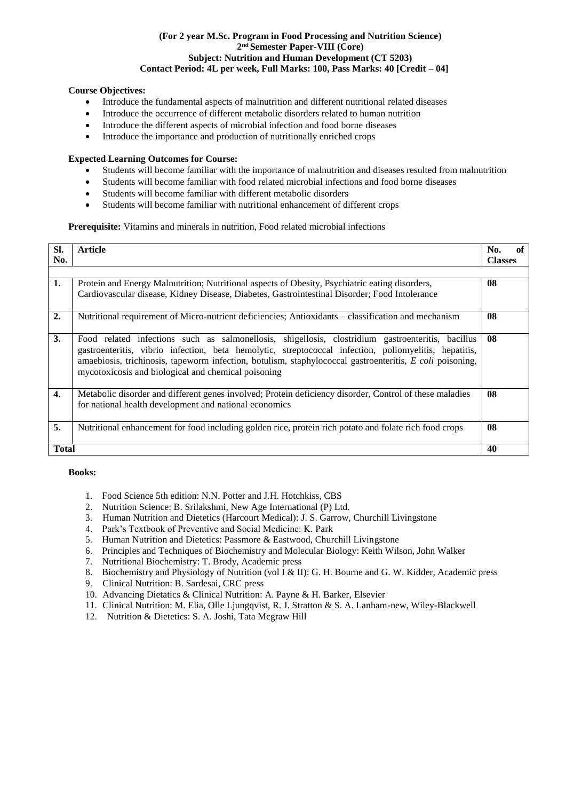# **(For 2 year M.Sc. Program in Food Processing and Nutrition Science) 2 nd Semester Paper-VIII (Core) Subject: Nutrition and Human Development (CT 5203) Contact Period: 4L per week, Full Marks: 100, Pass Marks: 40 [Credit – 04]**

# **Course Objectives:**

- Introduce the fundamental aspects of malnutrition and different nutritional related diseases
- Introduce the occurrence of different metabolic disorders related to human nutrition
- Introduce the different aspects of microbial infection and food borne diseases
- Introduce the importance and production of nutritionally enriched crops

#### **Expected Learning Outcomes for Course:**

- Students will become familiar with the importance of malnutrition and diseases resulted from malnutrition
- Students will become familiar with food related microbial infections and food borne diseases
- Students will become familiar with different metabolic disorders
- Students will become familiar with nutritional enhancement of different crops

## **Prerequisite:** Vitamins and minerals in nutrition, Food related microbial infections

| SI.          | <b>Article</b>                                                                                                                                                                                                                                                                                                                                                                | No.            |
|--------------|-------------------------------------------------------------------------------------------------------------------------------------------------------------------------------------------------------------------------------------------------------------------------------------------------------------------------------------------------------------------------------|----------------|
|              |                                                                                                                                                                                                                                                                                                                                                                               |                |
| No.          |                                                                                                                                                                                                                                                                                                                                                                               | <b>Classes</b> |
|              |                                                                                                                                                                                                                                                                                                                                                                               |                |
| 1.           | Protein and Energy Malnutrition; Nutritional aspects of Obesity, Psychiatric eating disorders,                                                                                                                                                                                                                                                                                | 08             |
|              | Cardiovascular disease, Kidney Disease, Diabetes, Gastrointestinal Disorder; Food Intolerance                                                                                                                                                                                                                                                                                 |                |
| 2.           | Nutritional requirement of Micro-nutrient deficiencies; Antioxidants – classification and mechanism                                                                                                                                                                                                                                                                           | 08             |
| 3.           | Food related infections such as salmonellosis, shigellosis, clostridium gastroenteritis, bacillus<br>gastroenteritis, vibrio infection, beta hemolytic, streptococcal infection, poliomyelitis, hepatitis,<br>amaebiosis, trichinosis, tapeworm infection, botulism, staphylococcal gastroenteritis, E coli poisoning,<br>mycotoxicosis and biological and chemical poisoning | 08             |
| 4.           | Metabolic disorder and different genes involved; Protein deficiency disorder, Control of these maladies<br>for national health development and national economics                                                                                                                                                                                                             | 08             |
| 5.           | Nutritional enhancement for food including golden rice, protein rich potato and folate rich food crops                                                                                                                                                                                                                                                                        | 08             |
| <b>Total</b> |                                                                                                                                                                                                                                                                                                                                                                               | 40             |

- 1. Food Science 5th edition: N.N. Potter and J.H. Hotchkiss, CBS
- 2. Nutrition Science: B. Srilakshmi, New Age International (P) Ltd.
- 3. Human Nutrition and Dietetics (Harcourt Medical): [J. S. Garrow, C](https://www.amazon.co.uk/s/ref%3Ddp_byline_sr_book_1?ie=UTF8&text=J.%2BS.%2BGarrow%2BMD%2B%2BPhD%2B%2BFRCP%2B%2BFRCP%28Edin%29&search-alias=books-uk&field-author=J.%2BS.%2BGarrow%2BMD%2B%2BPhD%2B%2BFRCP%2B%2BFRCP%28Edin%29&sort=relevancerank)hurchill Livingstone
- 4. Park's Textbook of Preventive and Social Medicine: K. Park
- 5. Human Nutrition and Dietetics: Passmore & Eastwood, Churchill Livingstone
- 6. Principles and Techniques of Biochemistry and Molecular Biology: Keith Wilson, John Walker
- 7. Nutritional Biochemistry: T. Brody, Academic press
- 8. Biochemistry and Physiology of Nutrition (vol I & II): G. H. Bourne and G. W. Kidder, Academic press
- 9. Clinical Nutrition: B. Sardesai, CRC press
- 10. Advancing Dietatics & Clinical Nutrition: A. Payne & H. Barker, Elsevier
- 11. Clinical Nutrition: M. Elia, Olle Ljungqvist, R. J. Stratton & S. A. Lanham-new, Wiley-Blackwell
- 12. Nutrition & Dietetics: S. A. Joshi, Tata Mcgraw Hill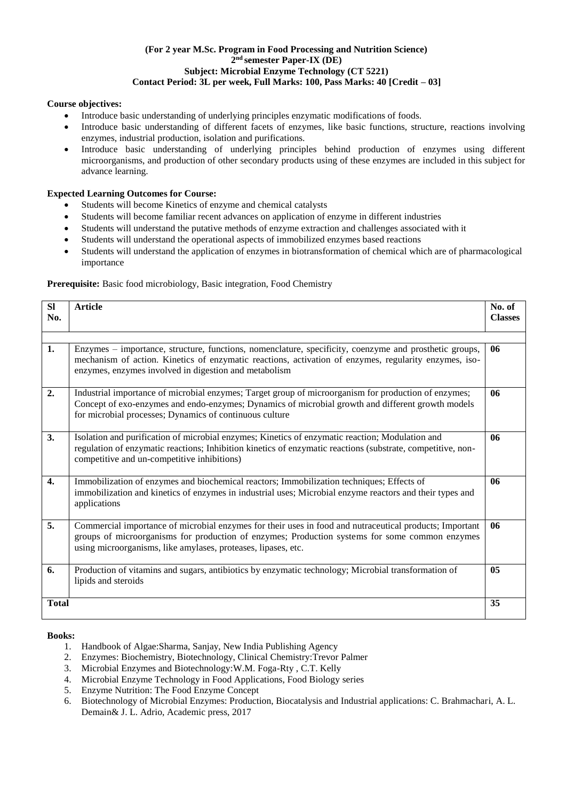# **(For 2 year M.Sc. Program in Food Processing and Nutrition Science) 2 nd semester Paper-IX (DE) Subject: Microbial Enzyme Technology (CT 5221) Contact Period: 3L per week, Full Marks: 100, Pass Marks: 40 [Credit – 03]**

# **Course objectives:**

- Introduce basic understanding of underlying principles enzymatic modifications of foods.
- Introduce basic understanding of different facets of enzymes, like basic functions, structure, reactions involving enzymes, industrial production, isolation and purifications.
- Introduce basic understanding of underlying principles behind production of enzymes using different microorganisms, and production of other secondary products using of these enzymes are included in this subject for advance learning.

# **Expected Learning Outcomes for Course:**

- Students will become Kinetics of enzyme and chemical catalysts
- Students will become familiar recent advances on application of enzyme in different industries
- Students will understand the putative methods of enzyme extraction and challenges associated with it
- Students will understand the operational aspects of immobilized enzymes based reactions
- Students will understand the application of enzymes in biotransformation of chemical which are of pharmacological importance

# Prerequisite: Basic food microbiology, Basic integration, Food Chemistry

| <b>SI</b><br>No.   | <b>Article</b>                                                                                                                                                                                                                                                             | No. of<br><b>Classes</b> |
|--------------------|----------------------------------------------------------------------------------------------------------------------------------------------------------------------------------------------------------------------------------------------------------------------------|--------------------------|
| 1.                 | Enzymes - importance, structure, functions, nomenclature, specificity, coenzyme and prosthetic groups,<br>mechanism of action. Kinetics of enzymatic reactions, activation of enzymes, regularity enzymes, iso-<br>enzymes, enzymes involved in digestion and metabolism   | 06                       |
| 2.                 | Industrial importance of microbial enzymes; Target group of microorganism for production of enzymes;<br>Concept of exo-enzymes and endo-enzymes; Dynamics of microbial growth and different growth models<br>for microbial processes; Dynamics of continuous culture       | 06                       |
| 3.                 | Isolation and purification of microbial enzymes; Kinetics of enzymatic reaction; Modulation and<br>regulation of enzymatic reactions; Inhibition kinetics of enzymatic reactions (substrate, competitive, non-<br>competitive and un-competitive inhibitions)              | 06                       |
| $\boldsymbol{4}$ . | Immobilization of enzymes and biochemical reactors; Immobilization techniques; Effects of<br>immobilization and kinetics of enzymes in industrial uses; Microbial enzyme reactors and their types and<br>applications                                                      | 06                       |
| 5.                 | Commercial importance of microbial enzymes for their uses in food and nutraceutical products; Important<br>groups of microorganisms for production of enzymes; Production systems for some common enzymes<br>using microorganisms, like amylases, proteases, lipases, etc. | 06                       |
| 6.                 | Production of vitamins and sugars, antibiotics by enzymatic technology; Microbial transformation of<br>lipids and steroids                                                                                                                                                 | 05                       |
| <b>Total</b>       |                                                                                                                                                                                                                                                                            | 35                       |

- 1. Handbook of Algae:Sharma, Sanjay, New India Publishing Agency
- 2. Enzymes: Biochemistry, Biotechnology, Clinical Chemistry:Trevor Palmer
- 3. Microbial Enzymes and Biotechnology[:W.M. Foga-Rty ,](https://www.amazon.in/s/ref%3Ddp_byline_sr_book_1?ie=UTF8&field-author=W.M.%2BFogarty&search-alias=stripbooks) C.T. [Kelly](https://www.amazon.in/s/ref%3Ddp_byline_sr_book_2?ie=UTF8&field-author=C.T.%2BKelly&search-alias=stripbooks)
- 4. Microbial Enzyme Technology in Food Applications, Food Biology series
- 5. Enzyme Nutrition: The Food Enzyme Concept
- 6. Biotechnology of Microbial Enzymes: Production, Biocatalysis and Industrial applications: C. Brahmachari, A. L. Demain& J. L. Adrio, Academic press, 2017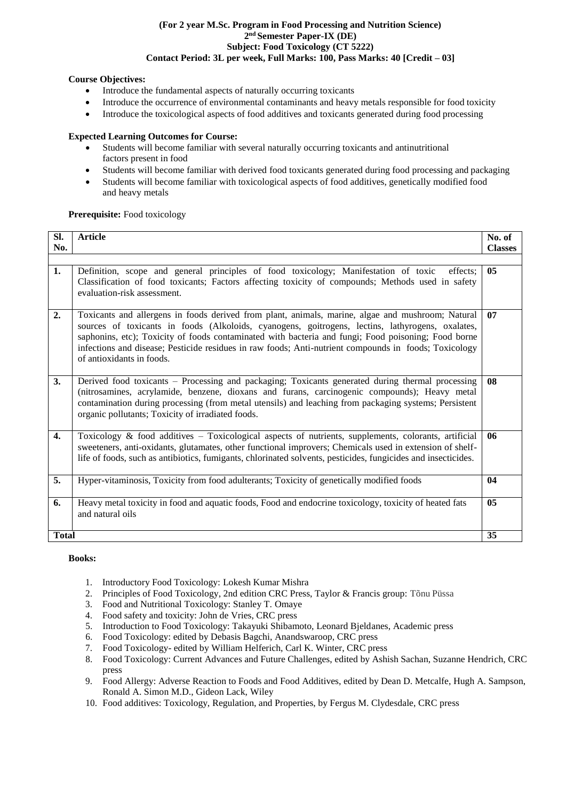#### **(For 2 year M.Sc. Program in Food Processing and Nutrition Science) 2 nd Semester Paper-IX (DE) Subject: Food Toxicology (CT 5222) Contact Period: 3L per week, Full Marks: 100, Pass Marks: 40 [Credit – 03]**

# **Course Objectives:**

- Introduce the fundamental aspects of naturally occurring toxicants
- Introduce the occurrence of environmental contaminants and heavy metals responsible for food toxicity
- Introduce the toxicological aspects of food additives and toxicants generated during food processing

# **Expected Learning Outcomes for Course:**

- Students will become familiar with several naturally occurring toxicants and antinutritional factors present in food
- Students will become familiar with derived food toxicants generated during food processing and packaging
- Students will become familiar with toxicological aspects of food additives, genetically modified food and heavy metals

# **Prerequisite:** Food toxicology

| Sl.          | <b>Article</b>                                                                                                                                                                                                                                                                                                                                                                                                                                     | No. of         |
|--------------|----------------------------------------------------------------------------------------------------------------------------------------------------------------------------------------------------------------------------------------------------------------------------------------------------------------------------------------------------------------------------------------------------------------------------------------------------|----------------|
| No.          |                                                                                                                                                                                                                                                                                                                                                                                                                                                    | <b>Classes</b> |
| 1.           | Definition, scope and general principles of food toxicology; Manifestation of toxic<br>effects:<br>Classification of food toxicants; Factors affecting toxicity of compounds; Methods used in safety<br>evaluation-risk assessment.                                                                                                                                                                                                                | 05             |
| 2.           | Toxicants and allergens in foods derived from plant, animals, marine, algae and mushroom; Natural<br>sources of toxicants in foods (Alkoloids, cyanogens, goitrogens, lectins, lathyrogens, oxalates,<br>saphonins, etc); Toxicity of foods contaminated with bacteria and fungi; Food poisoning; Food borne<br>infections and disease; Pesticide residues in raw foods; Anti-nutrient compounds in foods; Toxicology<br>of antioxidants in foods. | 07             |
| 3.           | Derived food toxicants – Processing and packaging; Toxicants generated during thermal processing<br>(nitrosamines, acrylamide, benzene, dioxans and furans, carcinogenic compounds); Heavy metal<br>contamination during processing (from metal utensils) and leaching from packaging systems; Persistent<br>organic pollutants; Toxicity of irradiated foods.                                                                                     | 08             |
| 4.           | Toxicology & food additives - Toxicological aspects of nutrients, supplements, colorants, artificial<br>sweeteners, anti-oxidants, glutamates, other functional improvers; Chemicals used in extension of shelf-<br>life of foods, such as antibiotics, fumigants, chlorinated solvents, pesticides, fungicides and insecticides.                                                                                                                  | 06             |
| 5.           | Hyper-vitaminosis, Toxicity from food adulterants; Toxicity of genetically modified foods                                                                                                                                                                                                                                                                                                                                                          | 04             |
| 6.           | Heavy metal toxicity in food and aquatic foods, Food and endocrine toxicology, toxicity of heated fats<br>and natural oils                                                                                                                                                                                                                                                                                                                         | 05             |
| <b>Total</b> |                                                                                                                                                                                                                                                                                                                                                                                                                                                    | 35             |

- 1. Introductory Food Toxicology: [Lokesh Kumar](https://www.amazon.in/s/ref%3Ddp_byline_sr_book_1?ie=UTF8&field-author=Lokesh%2BKumar%2BMishra&search-alias=stripbooks) Mishra
- 2. Principles of Food Toxicology, 2nd edition CRC Press, Taylor & Francis group: Tõnu Püssa
- 3. Food and Nutritional Toxicology: Stanley T. Omaye
- 4. Food safety and toxicity: John de Vries, CRC press
- 5. Introduction to Food Toxicology: Takayuki Shibamoto, Leonard Bjeldanes, Academic press
- 6. Food Toxicology: edited by Debasis Bagchi, Anandswaroop, CRC press
- 7. Food Toxicology- edited by William Helferich, Carl K. Winter, CRC press
- 8. Food Toxicology: Current Advances and Future Challenges, edited by Ashish Sachan, Suzanne Hendrich, CRC press
- 9. Food Allergy: Adverse Reaction to Foods and Food Additives, edited by Dean D. Metcalfe, Hugh A. Sampson, Ronald A. Simon M.D., Gideon Lack, Wiley
- 10. Food additives: Toxicology, Regulation, and Properties, by Fergus M. Clydesdale, CRC press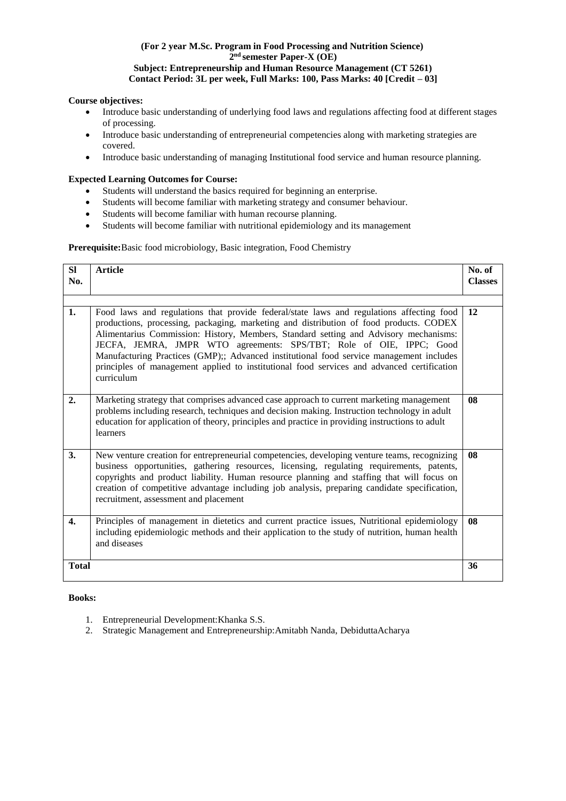# **(For 2 year M.Sc. Program in Food Processing and Nutrition Science) 2 nd semester Paper-X (OE) Subject: Entrepreneurship and Human Resource Management (CT 5261) Contact Period: 3L per week, Full Marks: 100, Pass Marks: 40 [Credit – 03]**

# **Course objectives:**

- Introduce basic understanding of underlying food laws and regulations affecting food at different stages of processing.
- Introduce basic understanding of entrepreneurial competencies along with marketing strategies are covered.
- Introduce basic understanding of managing Institutional food service and human resource planning.

# **Expected Learning Outcomes for Course:**

- Students will understand the basics required for beginning an enterprise.
- Students will become familiar with marketing strategy and consumer behaviour.
- Students will become familiar with human recourse planning.
- Students will become familiar with nutritional epidemiology and its management

# **Prerequisite:**Basic food microbiology, Basic integration, Food Chemistry

| SI<br>No.    | <b>Article</b>                                                                                                                                                                                                                                                                                                                                                                                                                                                                                                                                           | No. of<br><b>Classes</b> |
|--------------|----------------------------------------------------------------------------------------------------------------------------------------------------------------------------------------------------------------------------------------------------------------------------------------------------------------------------------------------------------------------------------------------------------------------------------------------------------------------------------------------------------------------------------------------------------|--------------------------|
|              |                                                                                                                                                                                                                                                                                                                                                                                                                                                                                                                                                          |                          |
| 1.           | Food laws and regulations that provide federal/state laws and regulations affecting food<br>productions, processing, packaging, marketing and distribution of food products. CODEX<br>Alimentarius Commission: History, Members, Standard setting and Advisory mechanisms:<br>JECFA, JEMRA, JMPR WTO agreements: SPS/TBT; Role of OIE, IPPC; Good<br>Manufacturing Practices (GMP);; Advanced institutional food service management includes<br>principles of management applied to institutional food services and advanced certification<br>curriculum | 12                       |
| 2.           | Marketing strategy that comprises advanced case approach to current marketing management<br>problems including research, techniques and decision making. Instruction technology in adult<br>education for application of theory, principles and practice in providing instructions to adult<br>learners                                                                                                                                                                                                                                                  | 08                       |
| 3.           | New venture creation for entrepreneurial competencies, developing venture teams, recognizing<br>business opportunities, gathering resources, licensing, regulating requirements, patents,<br>copyrights and product liability. Human resource planning and staffing that will focus on<br>creation of competitive advantage including job analysis, preparing candidate specification,<br>recruitment, assessment and placement                                                                                                                          | 08                       |
| 4.           | Principles of management in dietetics and current practice issues, Nutritional epidemiology<br>including epidemiologic methods and their application to the study of nutrition, human health<br>and diseases                                                                                                                                                                                                                                                                                                                                             | 08                       |
| <b>Total</b> |                                                                                                                                                                                                                                                                                                                                                                                                                                                                                                                                                          | 36                       |

- 1. Entrepreneurial Development:Khanka S.S.
- 2. Strategic Management and Entrepreneurship:Amitabh Nanda, DebiduttaAcharya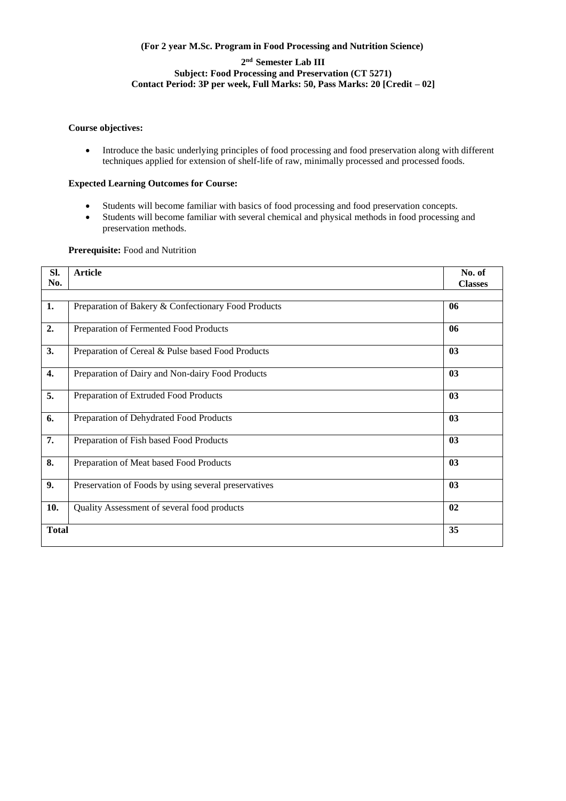# **(For 2 year M.Sc. Program in Food Processing and Nutrition Science)**

# **2 nd Semester Lab III Subject: Food Processing and Preservation (CT 5271) Contact Period: 3P per week, Full Marks: 50, Pass Marks: 20 [Credit – 02]**

### **Course objectives:**

 Introduce the basic underlying principles of food processing and food preservation along with different techniques applied for extension of shelf-life of raw, minimally processed and processed foods.

# **Expected Learning Outcomes for Course:**

- Students will become familiar with basics of food processing and food preservation concepts.
- Students will become familiar with several chemical and physical methods in food processing and preservation methods.

## **Prerequisite:** Food and Nutrition

| Sl.<br>No.   | <b>Article</b>                                       | No. of<br><b>Classes</b> |
|--------------|------------------------------------------------------|--------------------------|
|              |                                                      |                          |
| 1.           | Preparation of Bakery & Confectionary Food Products  | 06                       |
| 2.           | Preparation of Fermented Food Products               | 06                       |
| 3.           | Preparation of Cereal & Pulse based Food Products    | 03                       |
| 4.           | Preparation of Dairy and Non-dairy Food Products     | 03                       |
| 5.           | Preparation of Extruded Food Products                | 03                       |
| 6.           | Preparation of Dehydrated Food Products              | 03                       |
| 7.           | Preparation of Fish based Food Products              | 03                       |
| 8.           | Preparation of Meat based Food Products              | 03                       |
| 9.           | Preservation of Foods by using several preservatives | 03                       |
| 10.          | Quality Assessment of several food products          | 02                       |
| <b>Total</b> |                                                      | 35                       |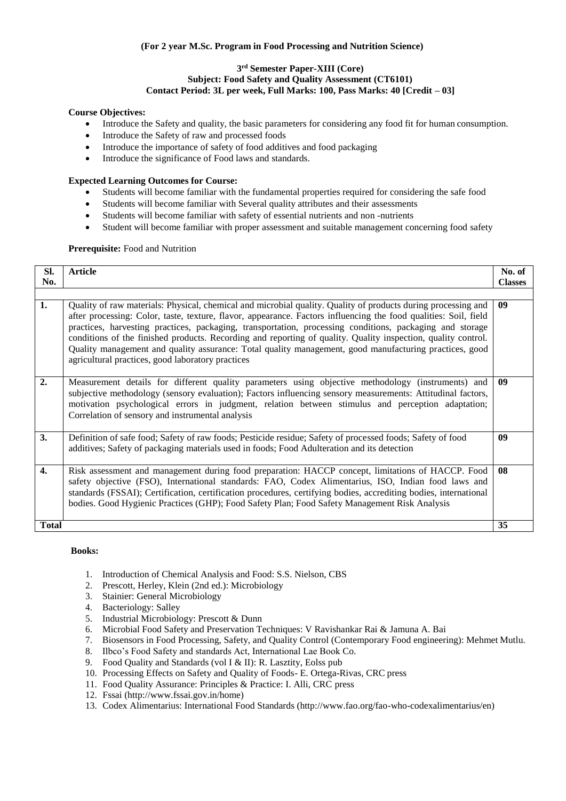# **(For 2 year M.Sc. Program in Food Processing and Nutrition Science)**

#### **3 rd Semester Paper-XIII (Core) Subject: Food Safety and Quality Assessment (CT6101) Contact Period: 3L per week, Full Marks: 100, Pass Marks: 40 [Credit – 03]**

# **Course Objectives:**

- Introduce the Safety and quality, the basic parameters for considering any food fit for human consumption.
- Introduce the Safety of raw and processed foods
- Introduce the importance of safety of food additives and food packaging
- Introduce the significance of Food laws and standards.

#### **Expected Learning Outcomes for Course:**

- Students will become familiar with the fundamental properties required for considering the safe food
- Students will become familiar with Several quality attributes and their assessments
- Students will become familiar with safety of essential nutrients and non -nutrients
- Student will become familiar with proper assessment and suitable management concerning food safety

#### Prerequisite: Food and Nutrition

| SI.          | <b>Article</b>                                                                                                   | No. of         |
|--------------|------------------------------------------------------------------------------------------------------------------|----------------|
| No.          |                                                                                                                  | <b>Classes</b> |
|              |                                                                                                                  |                |
|              |                                                                                                                  |                |
| 1.           | Quality of raw materials: Physical, chemical and microbial quality. Quality of products during processing and    | 09             |
|              | after processing: Color, taste, texture, flavor, appearance. Factors influencing the food qualities: Soil, field |                |
|              | practices, harvesting practices, packaging, transportation, processing conditions, packaging and storage         |                |
|              | conditions of the finished products. Recording and reporting of quality. Quality inspection, quality control.    |                |
|              | Quality management and quality assurance: Total quality management, good manufacturing practices, good           |                |
|              |                                                                                                                  |                |
|              | agricultural practices, good laboratory practices                                                                |                |
|              |                                                                                                                  |                |
| 2.           | Measurement details for different quality parameters using objective methodology (instruments) and               | 09             |
|              | subjective methodology (sensory evaluation); Factors influencing sensory measurements: Attitudinal factors,      |                |
|              | motivation psychological errors in judgment, relation between stimulus and perception adaptation;                |                |
|              | Correlation of sensory and instrumental analysis                                                                 |                |
|              |                                                                                                                  |                |
|              |                                                                                                                  |                |
| 3.           | Definition of safe food; Safety of raw foods; Pesticide residue; Safety of processed foods; Safety of food       | 09             |
|              | additives; Safety of packaging materials used in foods; Food Adulteration and its detection                      |                |
|              |                                                                                                                  |                |
| $\mathbf{4}$ | Risk assessment and management during food preparation: HACCP concept, limitations of HACCP. Food                | 08             |
|              | safety objective (FSO), International standards: FAO, Codex Alimentarius, ISO, Indian food laws and              |                |
|              | standards (FSSAI); Certification, certification procedures, certifying bodies, accrediting bodies, international |                |
|              |                                                                                                                  |                |
|              | bodies. Good Hygienic Practices (GHP); Food Safety Plan; Food Safety Management Risk Analysis                    |                |
|              |                                                                                                                  |                |
| Total        |                                                                                                                  | 35             |

- 1. Introduction of Chemical Analysis and Food: S.S. Nielson, CBS
- 2. Prescott, Herley, Klein (2nd ed.): Microbiology
- 3. Stainier: General Microbiology
- 4. Bacteriology: Salley
- 5. Industrial Microbiology: Prescott & Dunn
- 6. Microbial Food Safety and Preservation Techniques: V Ravishankar Rai & Jamuna A. Bai
- 7. Biosensors in Food Processing, Safety, and Quality Control (Contemporary Food engineering): Mehmet Mutlu.
- 8. Ilbco's Food Safety and standards Act, International Lae Book Co.
- 9. Food Quality and Standards (vol I & II): R. Lasztity, Eolss pub
- 10. Processing Effects on Safety and Quality of Foods- E. Ortega-Rivas, CRC press
- 11. Food Quality Assurance: Principles & Practice: I. Alli, CRC press
- 12. Fssai [\(http://www.fssai.gov.in/home\)](http://www.fssai.gov.in/home))
- 13. Codex Alimentarius: International Food Standards [\(http://www.fao.org/fao-who-codexalimentarius/en\)](http://www.fao.org/fao-who-codexalimentarius/en))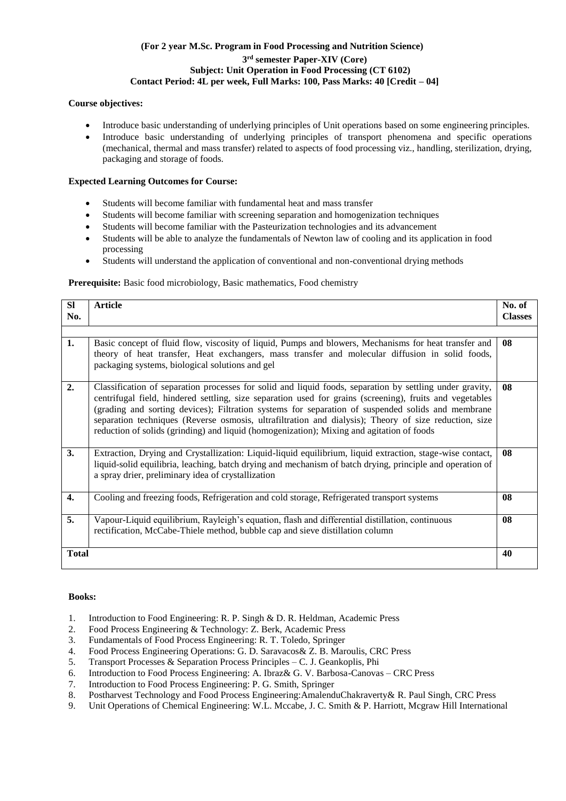# **(For 2 year M.Sc. Program in Food Processing and Nutrition Science) 3 rd semester Paper-XIV (Core) Subject: Unit Operation in Food Processing (CT 6102) Contact Period: 4L per week, Full Marks: 100, Pass Marks: 40 [Credit – 04]**

# **Course objectives:**

- Introduce basic understanding of underlying principles of Unit operations based on some engineering principles.
- Introduce basic understanding of underlying principles of transport phenomena and specific operations (mechanical, thermal and mass transfer) related to aspects of food processing viz., handling, sterilization, drying, packaging and storage of foods.

# **Expected Learning Outcomes for Course:**

- Students will become familiar with fundamental heat and mass transfer
- Students will become familiar with screening separation and homogenization techniques
- Students will become familiar with the Pasteurization technologies and its advancement
- Students will be able to analyze the fundamentals of Newton law of cooling and its application in food processing
- Students will understand the application of conventional and non-conventional drying methods

# Prerequisite: Basic food microbiology, Basic mathematics, Food chemistry

| <b>SI</b><br>No. | <b>Article</b>                                                                                                                                                                                                                                                                                                                                                                                                                                                                                                                  | No. of<br><b>Classes</b> |
|------------------|---------------------------------------------------------------------------------------------------------------------------------------------------------------------------------------------------------------------------------------------------------------------------------------------------------------------------------------------------------------------------------------------------------------------------------------------------------------------------------------------------------------------------------|--------------------------|
|                  |                                                                                                                                                                                                                                                                                                                                                                                                                                                                                                                                 |                          |
| 1.               | Basic concept of fluid flow, viscosity of liquid, Pumps and blowers, Mechanisms for heat transfer and<br>theory of heat transfer, Heat exchangers, mass transfer and molecular diffusion in solid foods,<br>packaging systems, biological solutions and gel                                                                                                                                                                                                                                                                     | 08                       |
| 2.               | Classification of separation processes for solid and liquid foods, separation by settling under gravity,<br>centrifugal field, hindered settling, size separation used for grains (screening), fruits and vegetables<br>(grading and sorting devices); Filtration systems for separation of suspended solids and membrane<br>separation techniques (Reverse osmosis, ultrafiltration and dialysis); Theory of size reduction, size<br>reduction of solids (grinding) and liquid (homogenization); Mixing and agitation of foods | 08                       |
| 3.               | Extraction, Drying and Crystallization: Liquid-liquid equilibrium, liquid extraction, stage-wise contact,<br>liquid-solid equilibria, leaching, batch drying and mechanism of batch drying, principle and operation of<br>a spray drier, preliminary idea of crystallization                                                                                                                                                                                                                                                    | 08                       |
| 4.               | Cooling and freezing foods, Refrigeration and cold storage, Refrigerated transport systems                                                                                                                                                                                                                                                                                                                                                                                                                                      | 08                       |
| 5.               | Vapour-Liquid equilibrium, Rayleigh's equation, flash and differential distillation, continuous<br>rectification, McCabe-Thiele method, bubble cap and sieve distillation column                                                                                                                                                                                                                                                                                                                                                | 08                       |
| <b>Total</b>     |                                                                                                                                                                                                                                                                                                                                                                                                                                                                                                                                 | 40                       |

- 1. Introduction to Food Engineering: R. P. Singh & D. R. Heldman, Academic Press
- 2. Food Process Engineering & Technology: Z. Berk, Academic Press
- 3. Fundamentals of Food Process Engineering: R. T. Toledo, Springer
- 4. Food Process Engineering Operations: G. D. Saravacos& Z. B. Maroulis, CRC Press
- 5. Transport Processes & Separation Process Principles C. J. Geankoplis, Phi
- 6. Introduction to Food Process Engineering: A. Ibraz& G. V. Barbosa-Canovas CRC Press
- 7. Introduction to Food Process Engineering: P. G. Smith, Springer
- 8. Postharvest Technology and Food Process Engineering:AmalenduChakraverty& R. Paul Singh, CRC Press
- 9. Unit Operations of Chemical Engineering: W.L. Mccabe, J. C. Smith & P. Harriott, Mcgraw Hill International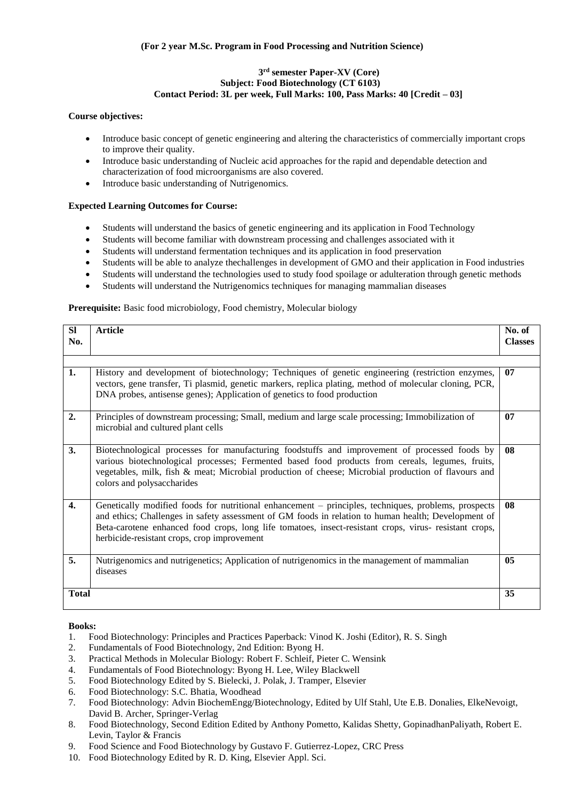# **3 rd semester Paper-XV (Core) Subject: Food Biotechnology (CT 6103) Contact Period: 3L per week, Full Marks: 100, Pass Marks: 40 [Credit – 03]**

#### **Course objectives:**

- Introduce basic concept of genetic engineering and altering the characteristics of commercially important crops to improve their quality.
- Introduce basic understanding of Nucleic acid approaches for the rapid and dependable detection and characterization of food microorganisms are also covered.
- Introduce basic understanding of Nutrigenomics.

# **Expected Learning Outcomes for Course:**

- Students will understand the basics of genetic engineering and its application in Food Technology
- Students will become familiar with downstream processing and challenges associated with it
- Students will understand fermentation techniques and its application in food preservation
- Students will be able to analyze thechallenges in development of GMO and their application in Food industries
- Students will understand the technologies used to study food spoilage or adulteration through genetic methods
- Students will understand the Nutrigenomics techniques for managing mammalian diseases

#### **Prerequisite:** Basic food microbiology, Food chemistry, Molecular biology

| <b>SI</b><br>No. | <b>Article</b>                                                                                                                                                                                                                                                                                                                                                       | No. of<br><b>Classes</b> |
|------------------|----------------------------------------------------------------------------------------------------------------------------------------------------------------------------------------------------------------------------------------------------------------------------------------------------------------------------------------------------------------------|--------------------------|
| 1.               | History and development of biotechnology; Techniques of genetic engineering (restriction enzymes,<br>vectors, gene transfer, Ti plasmid, genetic markers, replica plating, method of molecular cloning, PCR,                                                                                                                                                         | 07                       |
|                  | DNA probes, antisense genes); Application of genetics to food production                                                                                                                                                                                                                                                                                             |                          |
| 2.               | Principles of downstream processing; Small, medium and large scale processing; Immobilization of<br>microbial and cultured plant cells                                                                                                                                                                                                                               | 07                       |
| 3.               | Biotechnological processes for manufacturing foodstuffs and improvement of processed foods by<br>various biotechnological processes; Fermented based food products from cereals, legumes, fruits,<br>vegetables, milk, fish & meat; Microbial production of cheese; Microbial production of flavours and<br>colors and polysaccharides                               | 08                       |
| $\overline{4}$ . | Genetically modified foods for nutritional enhancement - principles, techniques, problems, prospects<br>and ethics; Challenges in safety assessment of GM foods in relation to human health; Development of<br>Beta-carotene enhanced food crops, long life tomatoes, insect-resistant crops, virus- resistant crops,<br>herbicide-resistant crops, crop improvement | 08                       |
| 5.               | Nutrigenomics and nutrigenetics; Application of nutrigenomics in the management of mammalian<br>diseases                                                                                                                                                                                                                                                             | 0 <sub>5</sub>           |
| <b>Total</b>     |                                                                                                                                                                                                                                                                                                                                                                      | 35                       |

- 1. Food Biotechnology: Principles and Practices Paperback: Vinod K. Joshi (Editor), R. S. Singh
- 2. Fundamentals of Food Biotechnology, 2nd Edition: Byong H.
- 3. Practical Methods in Molecular Biology: Robert F. Schleif, Pieter C. Wensink
- 4. Fundamentals of Food Biotechnology: Byong H. Lee, Wiley Blackwell
- 5. Food Biotechnology Edited by S. Bielecki, J. Polak, J. Tramper, Elsevier
- 6. Food Biotechnology: S.C. Bhatia, Woodhead
- 7. Food Biotechnology: Advin BiochemEngg/Biotechnology, Edited by Ulf Stahl, Ute E.B. Donalies, ElkeNevoigt, David B. Archer, Springer-Verlag
- 8. Food Biotechnology, Second Edition Edited by Anthony Pometto, Kalidas Shetty, GopinadhanPaliyath, Robert E. Levin, Taylor & Francis
- 9. Food Science and Food Biotechnology by Gustavo F. Gutierrez-Lopez, CRC Press
- 10. Food Biotechnology Edited by R. D. King, Elsevier Appl. Sci.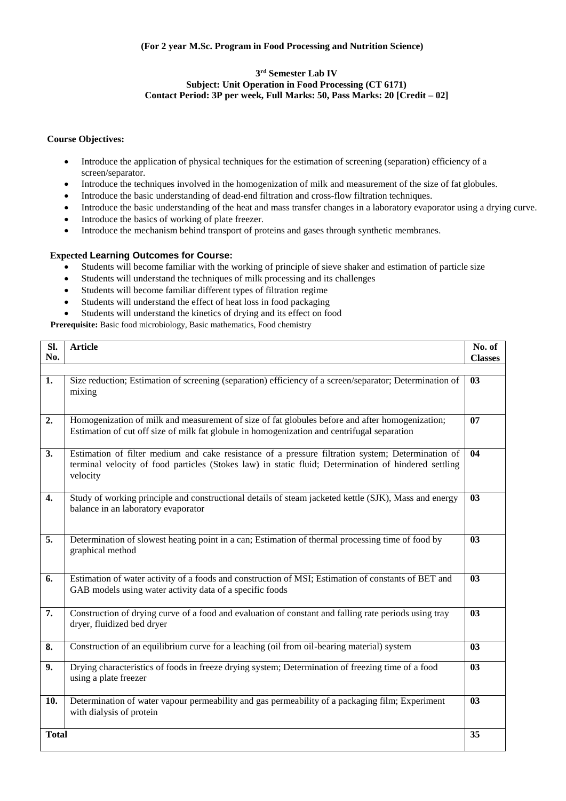### **3 rd Semester Lab IV Subject: Unit Operation in Food Processing (CT 6171) Contact Period: 3P per week, Full Marks: 50, Pass Marks: 20 [Credit – 02]**

#### **Course Objectives:**

- Introduce the application of physical techniques for the estimation of screening (separation) efficiency of a screen/separator.
- Introduce the techniques involved in the homogenization of milk and measurement of the size of fat globules.
- Introduce the basic understanding of dead-end filtration and cross-flow filtration techniques.
- Introduce the basic understanding of the heat and mass transfer changes in a laboratory evaporator using a drying curve.
- Introduce the basics of working of plate freezer.
- Introduce the mechanism behind transport of proteins and gases through synthetic membranes.

#### **Expected Learning Outcomes for Course:**

- Students will become familiar with the working of principle of sieve shaker and estimation of particle size
- Students will understand the techniques of milk processing and its challenges
- Students will become familiar different types of filtration regime
- Students will understand the effect of heat loss in food packaging
- Students will understand the kinetics of drying and its effect on food

Prerequisite: Basic food microbiology, Basic mathematics, Food chemistry

| Sl.<br>No.   | <b>Article</b>                                                                                                                                                                                                        | No. of         |
|--------------|-----------------------------------------------------------------------------------------------------------------------------------------------------------------------------------------------------------------------|----------------|
|              |                                                                                                                                                                                                                       | <b>Classes</b> |
| 1.           | Size reduction; Estimation of screening (separation) efficiency of a screen/separator; Determination of<br>mixing                                                                                                     | 03             |
| 2.           | Homogenization of milk and measurement of size of fat globules before and after homogenization;<br>Estimation of cut off size of milk fat globule in homogenization and centrifugal separation                        | 07             |
| 3.           | Estimation of filter medium and cake resistance of a pressure filtration system; Determination of<br>terminal velocity of food particles (Stokes law) in static fluid; Determination of hindered settling<br>velocity | 04             |
| $\mathbf{4}$ | Study of working principle and constructional details of steam jacketed kettle (SJK), Mass and energy<br>balance in an laboratory evaporator                                                                          | 03             |
| 5.           | Determination of slowest heating point in a can; Estimation of thermal processing time of food by<br>graphical method                                                                                                 | 03             |
| 6.           | Estimation of water activity of a foods and construction of MSI; Estimation of constants of BET and<br>GAB models using water activity data of a specific foods                                                       | 03             |
| 7.           | Construction of drying curve of a food and evaluation of constant and falling rate periods using tray<br>dryer, fluidized bed dryer                                                                                   | 03             |
| 8.           | Construction of an equilibrium curve for a leaching (oil from oil-bearing material) system                                                                                                                            | 03             |
| 9.           | Drying characteristics of foods in freeze drying system; Determination of freezing time of a food<br>using a plate freezer                                                                                            | 0 <sub>3</sub> |
| 10.          | Determination of water vapour permeability and gas permeability of a packaging film; Experiment<br>with dialysis of protein                                                                                           | 03             |
| <b>Total</b> |                                                                                                                                                                                                                       | 35             |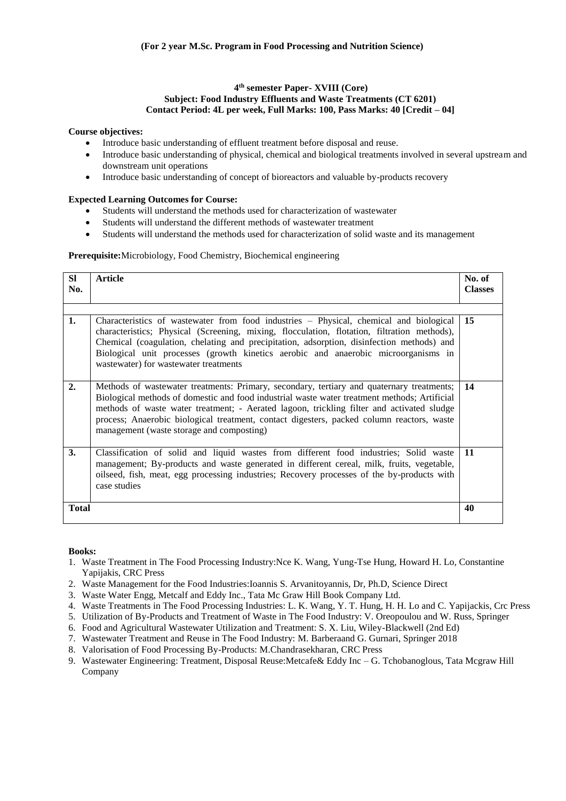#### **4 th semester Paper- XVIII (Core) Subject: Food Industry Effluents and Waste Treatments (CT 6201) Contact Period: 4L per week, Full Marks: 100, Pass Marks: 40 [Credit – 04]**

# **Course objectives:**

- Introduce basic understanding of effluent treatment before disposal and reuse.
- Introduce basic understanding of physical, chemical and biological treatments involved in several upstream and downstream unit operations
- Introduce basic understanding of concept of bioreactors and valuable by-products recovery

#### **Expected Learning Outcomes for Course:**

- Students will understand the methods used for characterization of wastewater
- Students will understand the different methods of wastewater treatment
- Students will understand the methods used for characterization of solid waste and its management

#### **Prerequisite:**Microbiology, Food Chemistry, Biochemical engineering

| <b>SI</b><br>No. | <b>Article</b>                                                                                                                                                                                                                                                                                                                                                                                                                   | No. of<br><b>Classes</b> |
|------------------|----------------------------------------------------------------------------------------------------------------------------------------------------------------------------------------------------------------------------------------------------------------------------------------------------------------------------------------------------------------------------------------------------------------------------------|--------------------------|
| 1.               | Characteristics of wastewater from food industries - Physical, chemical and biological<br>characteristics; Physical (Screening, mixing, flocculation, flotation, filtration methods),<br>Chemical (coagulation, chelating and precipitation, adsorption, disinfection methods) and<br>Biological unit processes (growth kinetics aerobic and anaerobic microorganisms in<br>wastewater) for wastewater treatments                | 15                       |
| $\overline{2}$ . | Methods of wastewater treatments: Primary, secondary, tertiary and quaternary treatments;<br>Biological methods of domestic and food industrial waste water treatment methods; Artificial<br>methods of waste water treatment; - Aerated lagoon, trickling filter and activated sludge<br>process; Anaerobic biological treatment, contact digesters, packed column reactors, waste<br>management (waste storage and composting) | 14                       |
| 3.               | Classification of solid and liquid wastes from different food industries; Solid waste<br>management; By-products and waste generated in different cereal, milk, fruits, vegetable,<br>oilseed, fish, meat, egg processing industries; Recovery processes of the by-products with<br>case studies                                                                                                                                 | 11                       |
| <b>Total</b>     |                                                                                                                                                                                                                                                                                                                                                                                                                                  | 40                       |

- 1. Waste Treatment in The Food Processing Industry:Nce K. Wang, Yung-Tse Hung, Howard H. Lo, Constantine Yapijakis, CRC Press
- 2. Waste Management for the Food Industries:Ioannis S. Arvanitoyannis, Dr, Ph.D, Science Direct
- 3. Waste Water Engg, Metcalf and Eddy Inc., Tata Mc Graw Hill Book Company Ltd.
- 4. Waste Treatments in The Food Processing Industries: L. K. Wang, Y. T. Hung, H. H. Lo and C. Yapijackis, Crc Press
- 5. Utilization of By-Products and Treatment of Waste in The Food Industry: V. Oreopoulou and W. Russ, Springer
- 6. Food and Agricultural Wastewater Utilization and Treatment: S. X. Liu, Wiley-Blackwell (2nd Ed)
- 7. Wastewater Treatment and Reuse in The Food Industry: M. Barberaand G. Gurnari, Springer 2018
- 8. Valorisation of Food Processing By-Products: M.Chandrasekharan, CRC Press
- 9. Wastewater Engineering: Treatment, Disposal Reuse:Metcafe& Eddy Inc G. Tchobanoglous, Tata Mcgraw Hill Company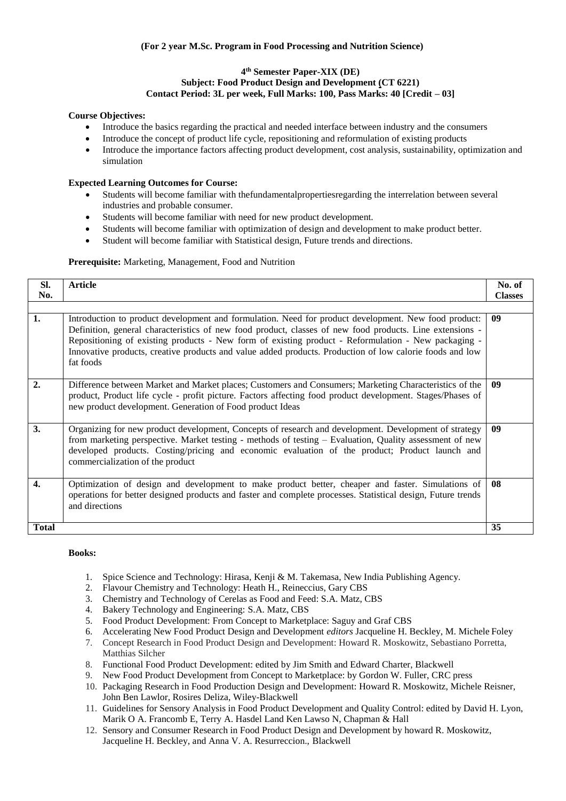#### **4 th Semester Paper-XIX (DE) Subject: Food Product Design and Development (CT 6221) Contact Period: 3L per week, Full Marks: 100, Pass Marks: 40 [Credit – 03]**

# **Course Objectives:**

- Introduce the basics regarding the practical and needed interface between industry and the consumers
- Introduce the concept of product life cycle, repositioning and reformulation of existing products
- Introduce the importance factors affecting product development, cost analysis, sustainability, optimization and simulation

# **Expected Learning Outcomes for Course:**

- Students will become familiar with thefundamentalpropertiesregarding the interrelation between several industries and probable consumer.
- Students will become familiar with need for new product development.
- Students will become familiar with optimization of design and development to make product better.
- Student will become familiar with Statistical design, Future trends and directions.

#### **Prerequisite:** Marketing, Management, Food and Nutrition

| SI.<br>No.       | <b>Article</b>                                                                                                                                                                                                                                                                                                                                                                                                                                   | No. of<br><b>Classes</b> |
|------------------|--------------------------------------------------------------------------------------------------------------------------------------------------------------------------------------------------------------------------------------------------------------------------------------------------------------------------------------------------------------------------------------------------------------------------------------------------|--------------------------|
|                  |                                                                                                                                                                                                                                                                                                                                                                                                                                                  |                          |
| 1.               | Introduction to product development and formulation. Need for product development. New food product:<br>Definition, general characteristics of new food product, classes of new food products. Line extensions -<br>Repositioning of existing products - New form of existing product - Reformulation - New packaging -<br>Innovative products, creative products and value added products. Production of low calorie foods and low<br>fat foods | 09                       |
| $\overline{2}$ . | Difference between Market and Market places; Customers and Consumers; Marketing Characteristics of the<br>product, Product life cycle - profit picture. Factors affecting food product development. Stages/Phases of<br>new product development. Generation of Food product Ideas                                                                                                                                                                | 09                       |
| 3.               | Organizing for new product development, Concepts of research and development. Development of strategy<br>from marketing perspective. Market testing - methods of testing - Evaluation, Quality assessment of new<br>developed products. Costing/pricing and economic evaluation of the product; Product launch and<br>commercialization of the product                                                                                           | 09                       |
| $\overline{4}$ . | Optimization of design and development to make product better, cheaper and faster. Simulations of<br>operations for better designed products and faster and complete processes. Statistical design, Future trends<br>and directions                                                                                                                                                                                                              | 08                       |
| <b>Total</b>     |                                                                                                                                                                                                                                                                                                                                                                                                                                                  | 35                       |

- 1. Spice Science and Technology: Hirasa, Kenji & M. Takemasa, New India Publishing Agency.
- 2. Flavour Chemistry and Technology: Heath H., Reineccius, Gary CBS
- 3. Chemistry and Technology of Cerelas as Food and Feed: S.A. Matz, CBS
- 4. Bakery Technology and Engineering: S.A. Matz, CBS
- 5. Food Product Development: From Concept to Marketplace: Saguy and Graf CBS
- 6. Accelerating New Food Product Design and Development *editors* Jacqueline H. Beckley, M. Michele Foley
- 7. Concept Research in Food Product Design and Development: Howard R. Moskowitz, Sebastiano Porretta, Matthias Silcher
- 8. Functional Food Product Development: edited by Jim Smith and Edward Charter, Blackwell
- 9. New Food Product Development from Concept to Marketplace: by Gordon W. Fuller, CRC press
- 10. Packaging Research in Food Production Design and Development: Howard R. Moskowitz, Michele Reisner, John Ben Lawlor, Rosires Deliza, Wiley-Blackwell
- 11. Guidelines for Sensory Analysis in Food Product Development and Quality Control: edited by David H. Lyon, Marik O A. Francomb E, Terry A. Hasdel Land Ken Lawso N, Chapman & Hall
- 12. Sensory and Consumer Research in Food Product Design and Development by howard R. Moskowitz, Jacqueline H. Beckley, and Anna V. A. Resurreccion., Blackwell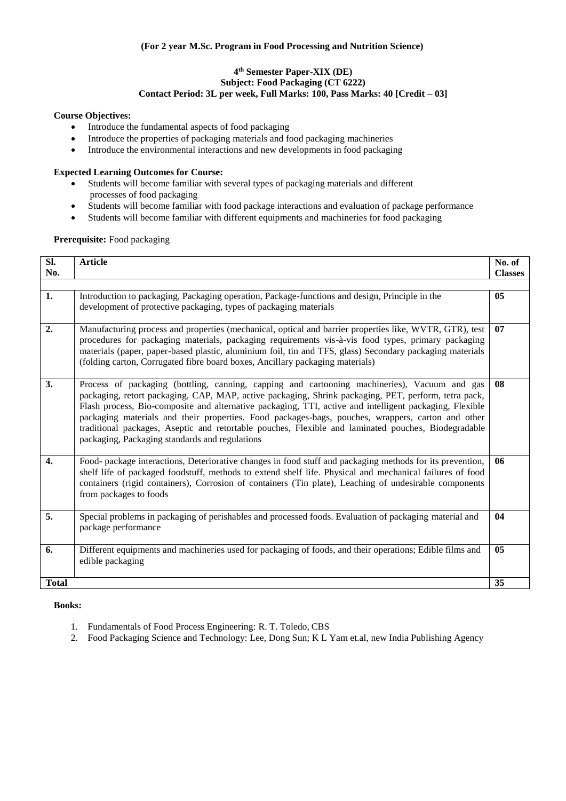# **(For 2 year M.Sc. Program in Food Processing and Nutrition Science)**

#### **4 th Semester Paper-XIX (DE) Subject: Food Packaging (CT 6222) Contact Period: 3L per week, Full Marks: 100, Pass Marks: 40 [Credit – 03]**

#### **Course Objectives:**

- Introduce the fundamental aspects of food packaging
- Introduce the properties of packaging materials and food packaging machineries
- Introduce the environmental interactions and new developments in food packaging

# **Expected Learning Outcomes for Course:**

- Students will become familiar with several types of packaging materials and different processes of food packaging
- Students will become familiar with food package interactions and evaluation of package performance
- Students will become familiar with different equipments and machineries for food packaging

# **Prerequisite:** Food packaging

| Sl.              |                                                                                                                                                                                                                                                                                                                                                                                                                                                                                                                                                                               | No. of         |
|------------------|-------------------------------------------------------------------------------------------------------------------------------------------------------------------------------------------------------------------------------------------------------------------------------------------------------------------------------------------------------------------------------------------------------------------------------------------------------------------------------------------------------------------------------------------------------------------------------|----------------|
|                  | <b>Article</b>                                                                                                                                                                                                                                                                                                                                                                                                                                                                                                                                                                |                |
| No.              |                                                                                                                                                                                                                                                                                                                                                                                                                                                                                                                                                                               | <b>Classes</b> |
|                  |                                                                                                                                                                                                                                                                                                                                                                                                                                                                                                                                                                               |                |
| 1.               | Introduction to packaging, Packaging operation, Package-functions and design, Principle in the<br>development of protective packaging, types of packaging materials                                                                                                                                                                                                                                                                                                                                                                                                           | 05             |
| 2.               | Manufacturing process and properties (mechanical, optical and barrier properties like, WVTR, GTR), test<br>procedures for packaging materials, packaging requirements vis-à-vis food types, primary packaging<br>materials (paper, paper-based plastic, aluminium foil, tin and TFS, glass) Secondary packaging materials<br>(folding carton, Corrugated fibre board boxes, Ancillary packaging materials)                                                                                                                                                                    | 07             |
| 3.               | Process of packaging (bottling, canning, capping and cartooning machineries), Vacuum and gas<br>packaging, retort packaging, CAP, MAP, active packaging, Shrink packaging, PET, perform, tetra pack,<br>Flash process, Bio-composite and alternative packaging, TTI, active and intelligent packaging, Flexible<br>packaging materials and their properties. Food packages-bags, pouches, wrappers, carton and other<br>traditional packages, Aseptic and retortable pouches, Flexible and laminated pouches, Biodegradable<br>packaging, Packaging standards and regulations | 08             |
| $\overline{4}$ . | Food- package interactions, Deteriorative changes in food stuff and packaging methods for its prevention,<br>shelf life of packaged foodstuff, methods to extend shelf life. Physical and mechanical failures of food<br>containers (rigid containers), Corrosion of containers (Tin plate), Leaching of undesirable components<br>from packages to foods                                                                                                                                                                                                                     | 06             |
| 5.               | Special problems in packaging of perishables and processed foods. Evaluation of packaging material and<br>package performance                                                                                                                                                                                                                                                                                                                                                                                                                                                 | 04             |
| 6.               | Different equipments and machineries used for packaging of foods, and their operations; Edible films and<br>edible packaging                                                                                                                                                                                                                                                                                                                                                                                                                                                  | 05             |
| <b>Total</b>     |                                                                                                                                                                                                                                                                                                                                                                                                                                                                                                                                                                               | 35             |
|                  |                                                                                                                                                                                                                                                                                                                                                                                                                                                                                                                                                                               |                |

- 1. Fundamentals of Food Process Engineering: [R. T. Toledo,](http://www.amazon.in/s/ref%3Ddp_byline_sr_book_1?ie=UTF8&field-author=R.T.%2BToledo&search-alias=stripbooks) CBS
- 2. Food Packaging Science and Technology: Lee, Dong Sun; K L Yam et.al, new India Publishing Agency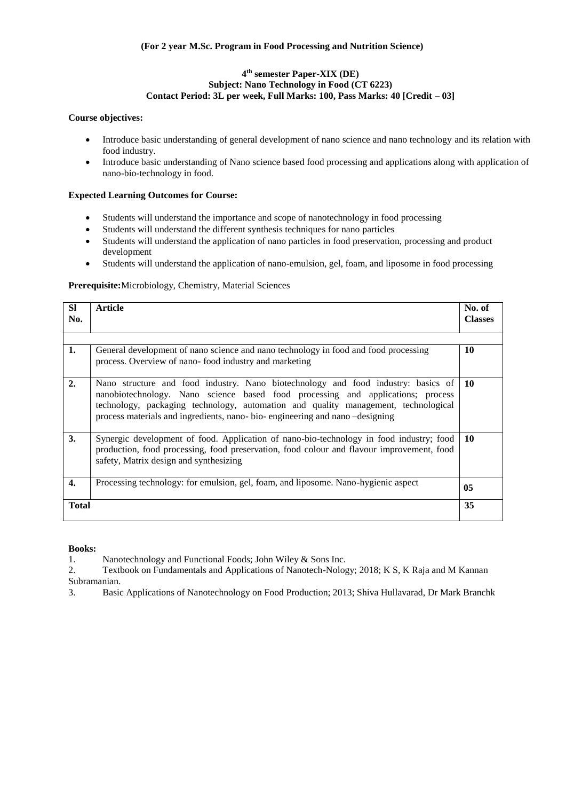# **4 th semester Paper-XIX (DE) Subject: Nano Technology in Food (CT 6223) Contact Period: 3L per week, Full Marks: 100, Pass Marks: 40 [Credit – 03]**

# **Course objectives:**

- Introduce basic understanding of general development of nano science and nano technology and its relation with food industry.
- Introduce basic understanding of Nano science based food processing and applications along with application of nano-bio-technology in food.

# **Expected Learning Outcomes for Course:**

- Students will understand the importance and scope of nanotechnology in food processing
- Students will understand the different synthesis techniques for nano particles
- Students will understand the application of nano particles in food preservation, processing and product development
- Students will understand the application of nano-emulsion, gel, foam, and liposome in food processing

# **Prerequisite:**Microbiology, Chemistry, Material Sciences

| <b>SI</b><br>No. | Article                                                                                                                                                                                                                                                                                                                                  | No. of<br><b>Classes</b> |
|------------------|------------------------------------------------------------------------------------------------------------------------------------------------------------------------------------------------------------------------------------------------------------------------------------------------------------------------------------------|--------------------------|
| 1.               | General development of nano science and nano technology in food and food processing<br>process. Overview of nano-food industry and marketing                                                                                                                                                                                             | 10                       |
| 2.               | Nano structure and food industry. Nano biotechnology and food industry: basics of<br>nanobiotechnology. Nano science based food processing and applications; process<br>technology, packaging technology, automation and quality management, technological<br>process materials and ingredients, nano-bio-engineering and nano-designing | 10                       |
| 3.               | Synergic development of food. Application of nano-bio-technology in food industry; food<br>production, food processing, food preservation, food colour and flavour improvement, food<br>safety, Matrix design and synthesizing                                                                                                           | 10                       |
| $\overline{4}$ . | Processing technology: for emulsion, gel, foam, and liposome. Nano-hygienic aspect                                                                                                                                                                                                                                                       | 0 <sub>5</sub>           |
| <b>Total</b>     |                                                                                                                                                                                                                                                                                                                                          | 35                       |

**Books:**

1. Nanotechnology and Functional Foods; John Wiley & Sons Inc.

2. Textbook on Fundamentals and Applications of Nanotech-Nology; 2018; K S, K Raja and M Kannan Subramanian.

3. Basic Applications of Nanotechnology on Food Production; 2013; Shiva Hullavarad, Dr Mark Branchk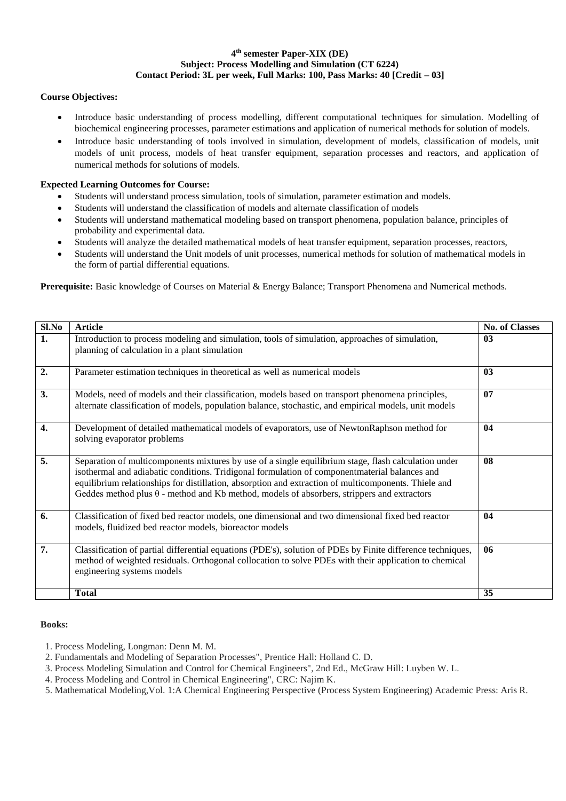# **4 th semester Paper-XIX (DE) Subject: Process Modelling and Simulation (CT 6224) Contact Period: 3L per week, Full Marks: 100, Pass Marks: 40 [Credit – 03]**

# **Course Objectives:**

- Introduce basic understanding of process modelling, different computational techniques for simulation. Modelling of biochemical engineering processes, parameter estimations and application of numerical methods for solution of models.
- Introduce basic understanding of tools involved in simulation, development of models, classification of models, unit models of unit process, models of heat transfer equipment, separation processes and reactors, and application of numerical methods for solutions of models.

# **Expected Learning Outcomes for Course:**

- Students will understand process simulation, tools of simulation, parameter estimation and models.
- Students will understand the classification of models and alternate classification of models
- Students will understand mathematical modeling based on transport phenomena, population balance, principles of probability and experimental data.
- Students will analyze the detailed mathematical models of heat transfer equipment, separation processes, reactors,
- Students will understand the Unit models of unit processes, numerical methods for solution of mathematical models in the form of partial differential equations.

**Prerequisite:** Basic knowledge of Courses on Material & Energy Balance; Transport Phenomena and Numerical methods.

| Sl.No | <b>Article</b>                                                                                                                                                                                                                                                                                                                                                                                                     | <b>No. of Classes</b> |
|-------|--------------------------------------------------------------------------------------------------------------------------------------------------------------------------------------------------------------------------------------------------------------------------------------------------------------------------------------------------------------------------------------------------------------------|-----------------------|
| 1.    | Introduction to process modeling and simulation, tools of simulation, approaches of simulation,<br>planning of calculation in a plant simulation                                                                                                                                                                                                                                                                   | 0 <sub>3</sub>        |
| 2.    | Parameter estimation techniques in theoretical as well as numerical models                                                                                                                                                                                                                                                                                                                                         | 03                    |
| 3.    | Models, need of models and their classification, models based on transport phenomena principles,<br>alternate classification of models, population balance, stochastic, and empirical models, unit models                                                                                                                                                                                                          | 07                    |
| 4.    | Development of detailed mathematical models of evaporators, use of NewtonRaphson method for<br>solving evaporator problems                                                                                                                                                                                                                                                                                         | 04                    |
| 5.    | Separation of multicomponents mixtures by use of a single equilibrium stage, flash calculation under<br>isothermal and adiabatic conditions. Tridigonal formulation of componentmaterial balances and<br>equilibrium relationships for distillation, absorption and extraction of multicomponents. Thiele and<br>Geddes method plus $\theta$ - method and Kb method, models of absorbers, strippers and extractors | 08                    |
| 6.    | Classification of fixed bed reactor models, one dimensional and two dimensional fixed bed reactor<br>models, fluidized bed reactor models, bioreactor models                                                                                                                                                                                                                                                       | 04                    |
| 7.    | Classification of partial differential equations (PDE's), solution of PDEs by Finite difference techniques,<br>method of weighted residuals. Orthogonal collocation to solve PDEs with their application to chemical<br>engineering systems models                                                                                                                                                                 | 06                    |
|       | <b>Total</b>                                                                                                                                                                                                                                                                                                                                                                                                       | 35                    |

- 1. Process Modeling, Longman: Denn M. M.
- 2. Fundamentals and Modeling of Separation Processes", Prentice Hall: Holland C. D.
- 3. Process Modeling Simulation and Control for Chemical Engineers", 2nd Ed., McGraw Hill: Luyben W. L.
- 4. Process Modeling and Control in Chemical Engineering", CRC: Najim K.
- 5. Mathematical Modeling,Vol. 1:A Chemical Engineering Perspective (Process System Engineering) Academic Press: Aris R.